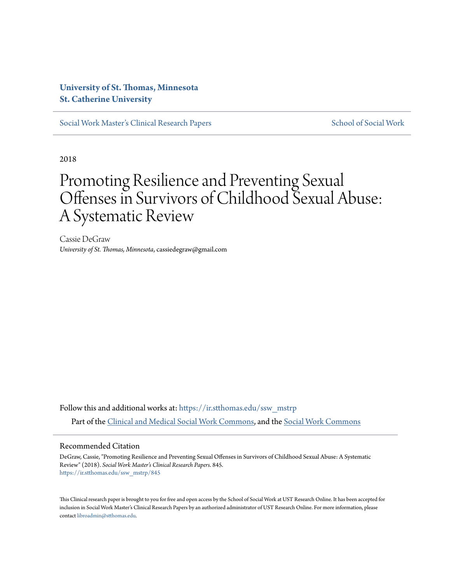### **[University of St. Thomas, Minnesota](https://ir.stthomas.edu?utm_source=ir.stthomas.edu%2Fssw_mstrp%2F845&utm_medium=PDF&utm_campaign=PDFCoverPages) [St. Catherine University](//sophia.stkate.edu/)**

[Social Work Master's Clinical Research Papers](https://ir.stthomas.edu/ssw_mstrp?utm_source=ir.stthomas.edu%2Fssw_mstrp%2F845&utm_medium=PDF&utm_campaign=PDFCoverPages) [School of Social Work](https://ir.stthomas.edu/ssw?utm_source=ir.stthomas.edu%2Fssw_mstrp%2F845&utm_medium=PDF&utm_campaign=PDFCoverPages) School of Social Work

2018

# Promoting Resilience and Preventing Sexual Offenses in Survivors of Childhood Sexual Abuse: A Systematic Review

Cassie DeGraw *University of St. Thomas, Minnesota*, cassiedegraw@gmail.com

Follow this and additional works at: [https://ir.stthomas.edu/ssw\\_mstrp](https://ir.stthomas.edu/ssw_mstrp?utm_source=ir.stthomas.edu%2Fssw_mstrp%2F845&utm_medium=PDF&utm_campaign=PDFCoverPages) Part of the [Clinical and Medical Social Work Commons,](http://network.bepress.com/hgg/discipline/712?utm_source=ir.stthomas.edu%2Fssw_mstrp%2F845&utm_medium=PDF&utm_campaign=PDFCoverPages) and the [Social Work Commons](http://network.bepress.com/hgg/discipline/713?utm_source=ir.stthomas.edu%2Fssw_mstrp%2F845&utm_medium=PDF&utm_campaign=PDFCoverPages)

#### Recommended Citation

DeGraw, Cassie, "Promoting Resilience and Preventing Sexual Offenses in Survivors of Childhood Sexual Abuse: A Systematic Review" (2018). *Social Work Master's Clinical Research Papers*. 845. [https://ir.stthomas.edu/ssw\\_mstrp/845](https://ir.stthomas.edu/ssw_mstrp/845?utm_source=ir.stthomas.edu%2Fssw_mstrp%2F845&utm_medium=PDF&utm_campaign=PDFCoverPages)

This Clinical research paper is brought to you for free and open access by the School of Social Work at UST Research Online. It has been accepted for inclusion in Social Work Master's Clinical Research Papers by an authorized administrator of UST Research Online. For more information, please contact [libroadmin@stthomas.edu](mailto:libroadmin@stthomas.edu).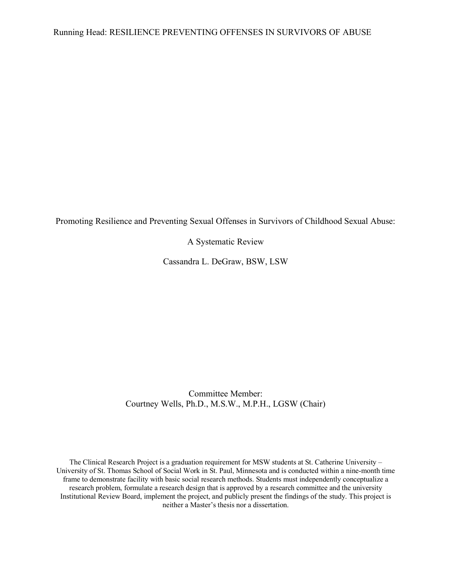Promoting Resilience and Preventing Sexual Offenses in Survivors of Childhood Sexual Abuse:

A Systematic Review

Cassandra L. DeGraw, BSW, LSW

Committee Member: Courtney Wells, Ph.D., M.S.W., M.P.H., LGSW (Chair)

The Clinical Research Project is a graduation requirement for MSW students at St. Catherine University – University of St. Thomas School of Social Work in St. Paul, Minnesota and is conducted within a nine-month time frame to demonstrate facility with basic social research methods. Students must independently conceptualize a research problem, formulate a research design that is approved by a research committee and the university Institutional Review Board, implement the project, and publicly present the findings of the study. This project is neither a Master's thesis nor a dissertation.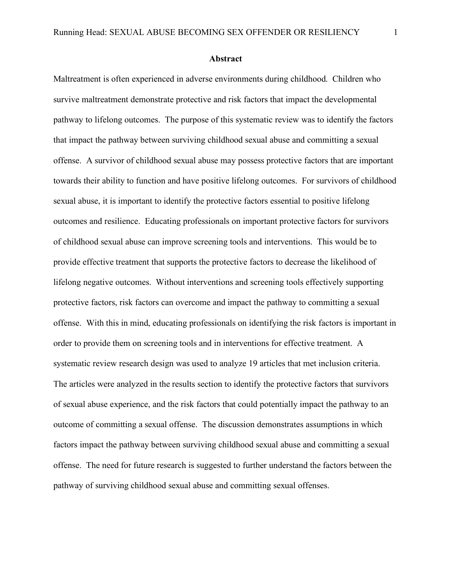#### **Abstract**

Maltreatment is often experienced in adverse environments during childhood. Children who survive maltreatment demonstrate protective and risk factors that impact the developmental pathway to lifelong outcomes. The purpose of this systematic review was to identify the factors that impact the pathway between surviving childhood sexual abuse and committing a sexual offense. A survivor of childhood sexual abuse may possess protective factors that are important towards their ability to function and have positive lifelong outcomes. For survivors of childhood sexual abuse, it is important to identify the protective factors essential to positive lifelong outcomes and resilience. Educating professionals on important protective factors for survivors of childhood sexual abuse can improve screening tools and interventions. This would be to provide effective treatment that supports the protective factors to decrease the likelihood of lifelong negative outcomes. Without interventions and screening tools effectively supporting protective factors, risk factors can overcome and impact the pathway to committing a sexual offense. With this in mind, educating professionals on identifying the risk factors is important in order to provide them on screening tools and in interventions for effective treatment. A systematic review research design was used to analyze 19 articles that met inclusion criteria. The articles were analyzed in the results section to identify the protective factors that survivors of sexual abuse experience, and the risk factors that could potentially impact the pathway to an outcome of committing a sexual offense. The discussion demonstrates assumptions in which factors impact the pathway between surviving childhood sexual abuse and committing a sexual offense. The need for future research is suggested to further understand the factors between the pathway of surviving childhood sexual abuse and committing sexual offenses.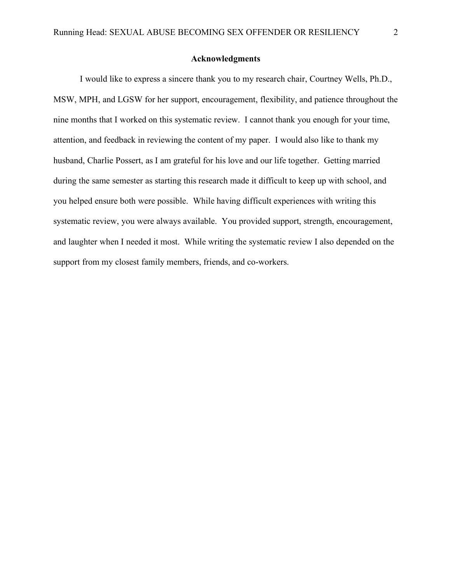#### **Acknowledgments**

I would like to express a sincere thank you to my research chair, Courtney Wells, Ph.D., MSW, MPH, and LGSW for her support, encouragement, flexibility, and patience throughout the nine months that I worked on this systematic review. I cannot thank you enough for your time, attention, and feedback in reviewing the content of my paper. I would also like to thank my husband, Charlie Possert, as I am grateful for his love and our life together. Getting married during the same semester as starting this research made it difficult to keep up with school, and you helped ensure both were possible. While having difficult experiences with writing this systematic review, you were always available. You provided support, strength, encouragement, and laughter when I needed it most. While writing the systematic review I also depended on the support from my closest family members, friends, and co-workers.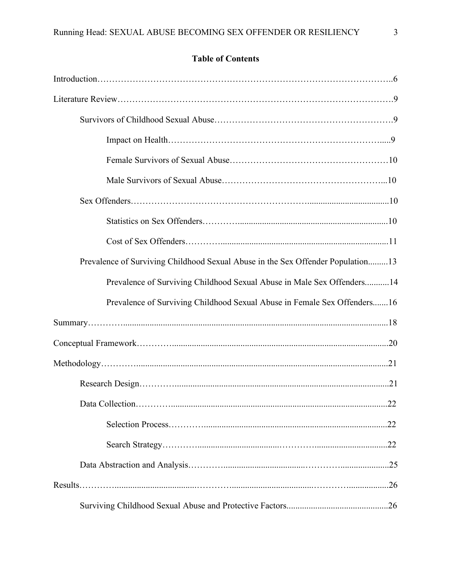## **Table of Contents**

| Prevalence of Surviving Childhood Sexual Abuse in the Sex Offender Population13 |  |
|---------------------------------------------------------------------------------|--|
| Prevalence of Surviving Childhood Sexual Abuse in Male Sex Offenders14          |  |
| Prevalence of Surviving Childhood Sexual Abuse in Female Sex Offenders16        |  |
|                                                                                 |  |
|                                                                                 |  |
|                                                                                 |  |
|                                                                                 |  |
|                                                                                 |  |
|                                                                                 |  |
|                                                                                 |  |
|                                                                                 |  |
|                                                                                 |  |
|                                                                                 |  |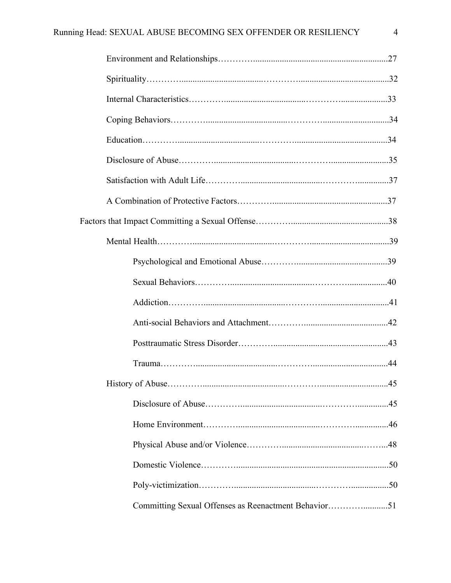| Committing Sexual Offenses as Reenactment Behavior51 |  |
|------------------------------------------------------|--|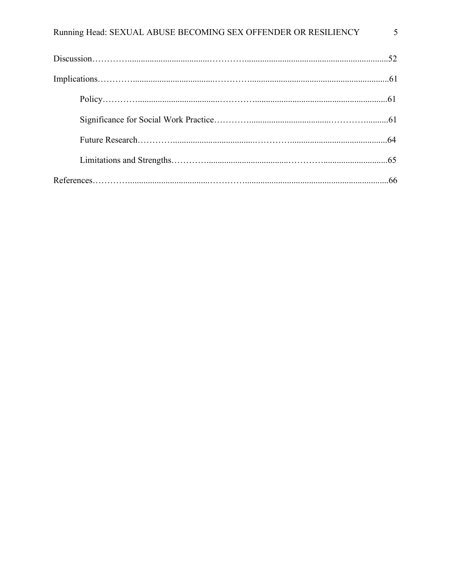| Running Head: SEXUAL ABUSE BECOMING SEX OFFENDER OR RESILIENCY | 5 |
|----------------------------------------------------------------|---|
|                                                                |   |
|                                                                |   |
|                                                                |   |
|                                                                |   |
|                                                                |   |
|                                                                |   |
|                                                                |   |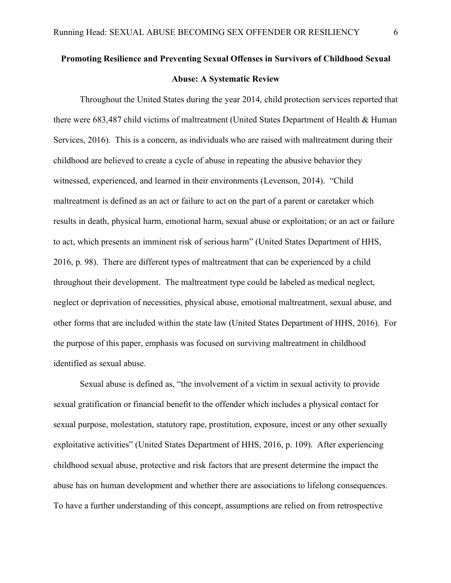## **Promoting Resilience and Preventing Sexual Offenses in Survivors of Childhood Sexual Abuse: A Systematic Review**

Throughout the United States during the year 2014, child protection services reported that there were 683,487 child victims of maltreatment (United States Department of Health & Human Services, 2016). This is a concern, as individuals who are raised with maltreatment during their childhood are believed to create a cycle of abuse in repeating the abusive behavior they witnessed, experienced, and learned in their environments (Levenson, 2014). "Child maltreatment is defined as an act or failure to act on the part of a parent or caretaker which results in death, physical harm, emotional harm, sexual abuse or exploitation; or an act or failure to act, which presents an imminent risk of serious harm" (United States Department of HHS, 2016, p. 98). There are different types of maltreatment that can be experienced by a child throughout their development. The maltreatment type could be labeled as medical neglect, neglect or deprivation of necessities, physical abuse, emotional maltreatment, sexual abuse, and other forms that are included within the state law (United States Department of HHS, 2016). For the purpose of this paper, emphasis was focused on surviving maltreatment in childhood identified as sexual abuse.

Sexual abuse is defined as, "the involvement of a victim in sexual activity to provide sexual gratification or financial benefit to the offender which includes a physical contact for sexual purpose, molestation, statutory rape, prostitution, exposure, incest or any other sexually exploitative activities" (United States Department of HHS, 2016, p. 109). After experiencing childhood sexual abuse, protective and risk factors that are present determine the impact the abuse has on human development and whether there are associations to lifelong consequences. To have a further understanding of this concept, assumptions are relied on from retrospective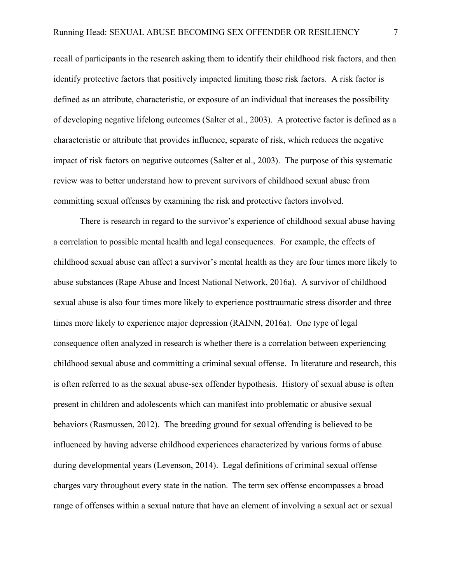recall of participants in the research asking them to identify their childhood risk factors, and then identify protective factors that positively impacted limiting those risk factors. A risk factor is defined as an attribute, characteristic, or exposure of an individual that increases the possibility of developing negative lifelong outcomes (Salter et al., 2003). A protective factor is defined as a characteristic or attribute that provides influence, separate of risk, which reduces the negative impact of risk factors on negative outcomes (Salter et al., 2003). The purpose of this systematic review was to better understand how to prevent survivors of childhood sexual abuse from committing sexual offenses by examining the risk and protective factors involved.

There is research in regard to the survivor's experience of childhood sexual abuse having a correlation to possible mental health and legal consequences. For example, the effects of childhood sexual abuse can affect a survivor's mental health as they are four times more likely to abuse substances (Rape Abuse and Incest National Network, 2016a). A survivor of childhood sexual abuse is also four times more likely to experience posttraumatic stress disorder and three times more likely to experience major depression (RAINN, 2016a). One type of legal consequence often analyzed in research is whether there is a correlation between experiencing childhood sexual abuse and committing a criminal sexual offense. In literature and research, this is often referred to as the sexual abuse-sex offender hypothesis. History of sexual abuse is often present in children and adolescents which can manifest into problematic or abusive sexual behaviors (Rasmussen, 2012). The breeding ground for sexual offending is believed to be influenced by having adverse childhood experiences characterized by various forms of abuse during developmental years (Levenson, 2014). Legal definitions of criminal sexual offense charges vary throughout every state in the nation. The term sex offense encompasses a broad range of offenses within a sexual nature that have an element of involving a sexual act or sexual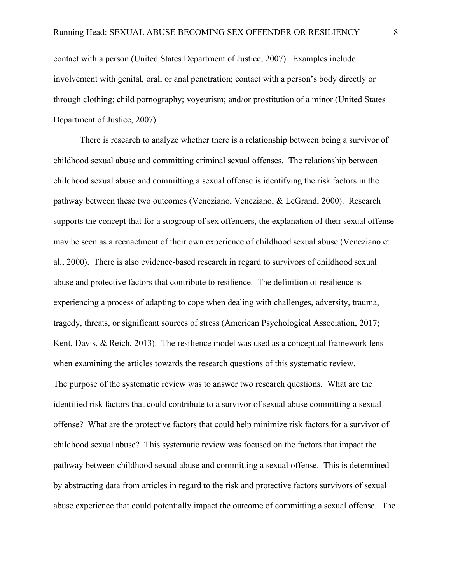contact with a person (United States Department of Justice, 2007). Examples include involvement with genital, oral, or anal penetration; contact with a person's body directly or through clothing; child pornography; voyeurism; and/or prostitution of a minor (United States Department of Justice, 2007).

There is research to analyze whether there is a relationship between being a survivor of childhood sexual abuse and committing criminal sexual offenses. The relationship between childhood sexual abuse and committing a sexual offense is identifying the risk factors in the pathway between these two outcomes (Veneziano, Veneziano, & LeGrand, 2000). Research supports the concept that for a subgroup of sex offenders, the explanation of their sexual offense may be seen as a reenactment of their own experience of childhood sexual abuse (Veneziano et al., 2000). There is also evidence-based research in regard to survivors of childhood sexual abuse and protective factors that contribute to resilience. The definition of resilience is experiencing a process of adapting to cope when dealing with challenges, adversity, trauma, tragedy, threats, or significant sources of stress (American Psychological Association, 2017; Kent, Davis, & Reich, 2013). The resilience model was used as a conceptual framework lens when examining the articles towards the research questions of this systematic review. The purpose of the systematic review was to answer two research questions. What are the identified risk factors that could contribute to a survivor of sexual abuse committing a sexual offense? What are the protective factors that could help minimize risk factors for a survivor of childhood sexual abuse? This systematic review was focused on the factors that impact the pathway between childhood sexual abuse and committing a sexual offense. This is determined by abstracting data from articles in regard to the risk and protective factors survivors of sexual abuse experience that could potentially impact the outcome of committing a sexual offense. The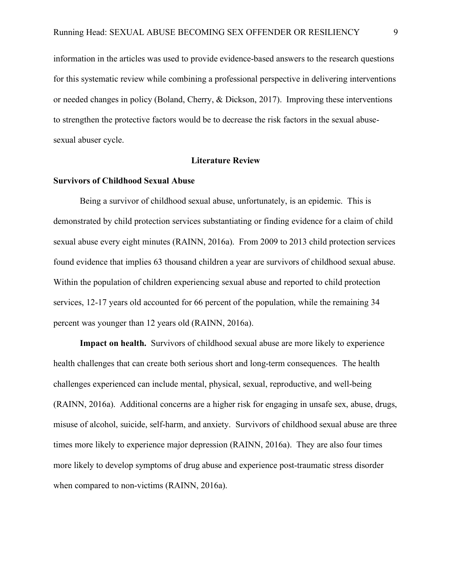information in the articles was used to provide evidence-based answers to the research questions for this systematic review while combining a professional perspective in delivering interventions or needed changes in policy (Boland, Cherry, & Dickson, 2017). Improving these interventions to strengthen the protective factors would be to decrease the risk factors in the sexual abusesexual abuser cycle.

#### **Literature Review**

#### **Survivors of Childhood Sexual Abuse**

Being a survivor of childhood sexual abuse, unfortunately, is an epidemic. This is demonstrated by child protection services substantiating or finding evidence for a claim of child sexual abuse every eight minutes (RAINN, 2016a). From 2009 to 2013 child protection services found evidence that implies 63 thousand children a year are survivors of childhood sexual abuse. Within the population of children experiencing sexual abuse and reported to child protection services, 12-17 years old accounted for 66 percent of the population, while the remaining 34 percent was younger than 12 years old (RAINN, 2016a).

**Impact on health.** Survivors of childhood sexual abuse are more likely to experience health challenges that can create both serious short and long-term consequences. The health challenges experienced can include mental, physical, sexual, reproductive, and well-being (RAINN, 2016a). Additional concerns are a higher risk for engaging in unsafe sex, abuse, drugs, misuse of alcohol, suicide, self-harm, and anxiety. Survivors of childhood sexual abuse are three times more likely to experience major depression (RAINN, 2016a). They are also four times more likely to develop symptoms of drug abuse and experience post-traumatic stress disorder when compared to non-victims (RAINN, 2016a).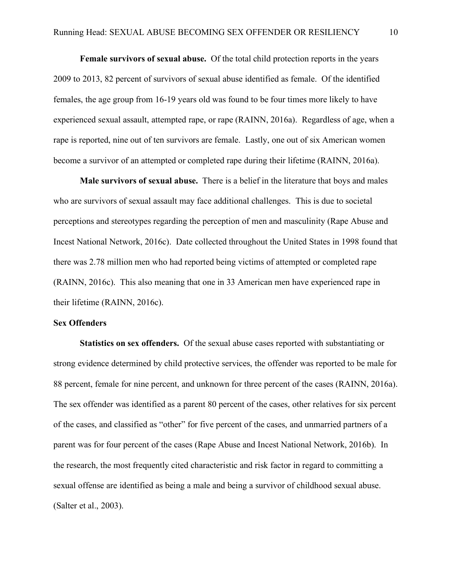**Female survivors of sexual abuse.**Of the total child protection reports in the years 2009 to 2013, 82 percent of survivors of sexual abuse identified as female. Of the identified females, the age group from 16-19 years old was found to be four times more likely to have experienced sexual assault, attempted rape, or rape (RAINN, 2016a). Regardless of age, when a rape is reported, nine out of ten survivors are female. Lastly, one out of six American women become a survivor of an attempted or completed rape during their lifetime (RAINN, 2016a).

**Male survivors of sexual abuse.** There is a belief in the literature that boys and males who are survivors of sexual assault may face additional challenges. This is due to societal perceptions and stereotypes regarding the perception of men and masculinity (Rape Abuse and Incest National Network, 2016c). Date collected throughout the United States in 1998 found that there was 2.78 million men who had reported being victims of attempted or completed rape (RAINN, 2016c). This also meaning that one in 33 American men have experienced rape in their lifetime (RAINN, 2016c).

#### **Sex Offenders**

**Statistics on sex offenders.** Of the sexual abuse cases reported with substantiating or strong evidence determined by child protective services, the offender was reported to be male for 88 percent, female for nine percent, and unknown for three percent of the cases (RAINN, 2016a). The sex offender was identified as a parent 80 percent of the cases, other relatives for six percent of the cases, and classified as "other" for five percent of the cases, and unmarried partners of a parent was for four percent of the cases (Rape Abuse and Incest National Network, 2016b). In the research, the most frequently cited characteristic and risk factor in regard to committing a sexual offense are identified as being a male and being a survivor of childhood sexual abuse. (Salter et al., 2003).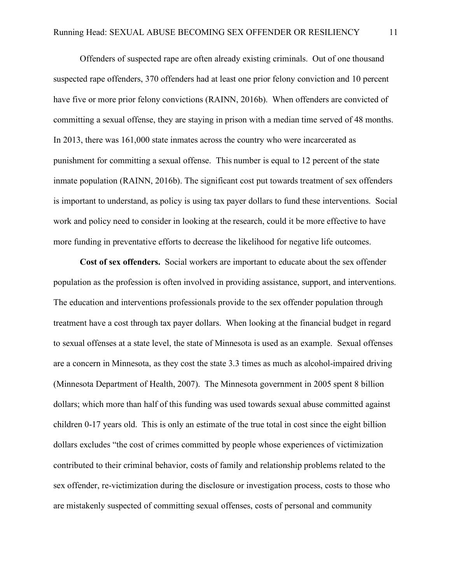Offenders of suspected rape are often already existing criminals. Out of one thousand suspected rape offenders, 370 offenders had at least one prior felony conviction and 10 percent have five or more prior felony convictions (RAINN, 2016b). When offenders are convicted of committing a sexual offense, they are staying in prison with a median time served of 48 months. In 2013, there was 161,000 state inmates across the country who were incarcerated as punishment for committing a sexual offense. This number is equal to 12 percent of the state inmate population (RAINN, 2016b). The significant cost put towards treatment of sex offenders is important to understand, as policy is using tax payer dollars to fund these interventions. Social work and policy need to consider in looking at the research, could it be more effective to have more funding in preventative efforts to decrease the likelihood for negative life outcomes.

**Cost of sex offenders.** Social workers are important to educate about the sex offender population as the profession is often involved in providing assistance, support, and interventions. The education and interventions professionals provide to the sex offender population through treatment have a cost through tax payer dollars. When looking at the financial budget in regard to sexual offenses at a state level, the state of Minnesota is used as an example. Sexual offenses are a concern in Minnesota, as they cost the state 3.3 times as much as alcohol-impaired driving (Minnesota Department of Health, 2007). The Minnesota government in 2005 spent 8 billion dollars; which more than half of this funding was used towards sexual abuse committed against children 0-17 years old. This is only an estimate of the true total in cost since the eight billion dollars excludes "the cost of crimes committed by people whose experiences of victimization contributed to their criminal behavior, costs of family and relationship problems related to the sex offender, re-victimization during the disclosure or investigation process, costs to those who are mistakenly suspected of committing sexual offenses, costs of personal and community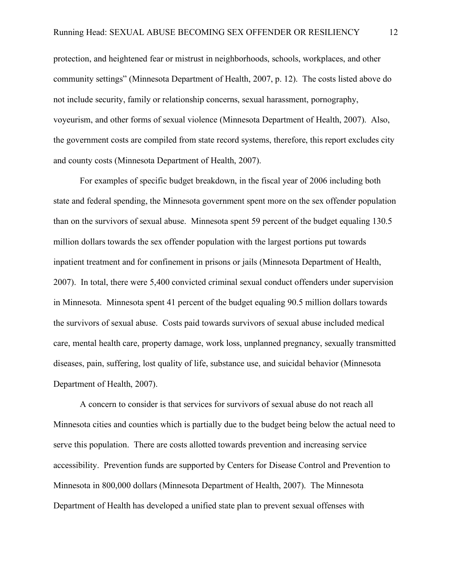protection, and heightened fear or mistrust in neighborhoods, schools, workplaces, and other community settings" (Minnesota Department of Health, 2007, p. 12). The costs listed above do not include security, family or relationship concerns, sexual harassment, pornography, voyeurism, and other forms of sexual violence (Minnesota Department of Health, 2007). Also, the government costs are compiled from state record systems, therefore, this report excludes city and county costs (Minnesota Department of Health, 2007).

For examples of specific budget breakdown, in the fiscal year of 2006 including both state and federal spending, the Minnesota government spent more on the sex offender population than on the survivors of sexual abuse. Minnesota spent 59 percent of the budget equaling 130.5 million dollars towards the sex offender population with the largest portions put towards inpatient treatment and for confinement in prisons or jails (Minnesota Department of Health, 2007). In total, there were 5,400 convicted criminal sexual conduct offenders under supervision in Minnesota. Minnesota spent 41 percent of the budget equaling 90.5 million dollars towards the survivors of sexual abuse. Costs paid towards survivors of sexual abuse included medical care, mental health care, property damage, work loss, unplanned pregnancy, sexually transmitted diseases, pain, suffering, lost quality of life, substance use, and suicidal behavior (Minnesota Department of Health, 2007).

A concern to consider is that services for survivors of sexual abuse do not reach all Minnesota cities and counties which is partially due to the budget being below the actual need to serve this population. There are costs allotted towards prevention and increasing service accessibility. Prevention funds are supported by Centers for Disease Control and Prevention to Minnesota in 800,000 dollars (Minnesota Department of Health, 2007). The Minnesota Department of Health has developed a unified state plan to prevent sexual offenses with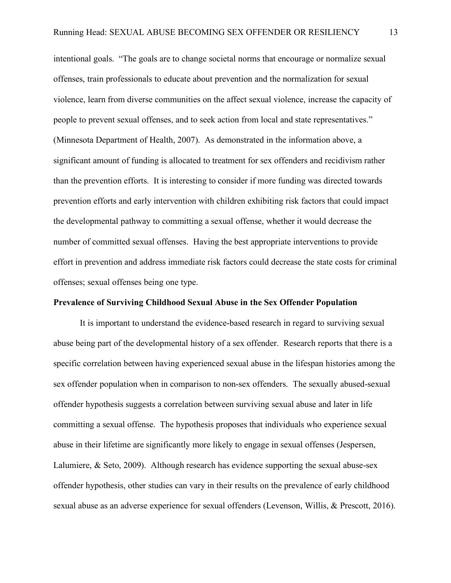intentional goals. "The goals are to change societal norms that encourage or normalize sexual offenses, train professionals to educate about prevention and the normalization for sexual violence, learn from diverse communities on the affect sexual violence, increase the capacity of people to prevent sexual offenses, and to seek action from local and state representatives." (Minnesota Department of Health, 2007). As demonstrated in the information above, a significant amount of funding is allocated to treatment for sex offenders and recidivism rather than the prevention efforts. It is interesting to consider if more funding was directed towards prevention efforts and early intervention with children exhibiting risk factors that could impact the developmental pathway to committing a sexual offense, whether it would decrease the number of committed sexual offenses. Having the best appropriate interventions to provide effort in prevention and address immediate risk factors could decrease the state costs for criminal offenses; sexual offenses being one type.

#### **Prevalence of Surviving Childhood Sexual Abuse in the Sex Offender Population**

It is important to understand the evidence-based research in regard to surviving sexual abuse being part of the developmental history of a sex offender. Research reports that there is a specific correlation between having experienced sexual abuse in the lifespan histories among the sex offender population when in comparison to non-sex offenders. The sexually abused-sexual offender hypothesis suggests a correlation between surviving sexual abuse and later in life committing a sexual offense. The hypothesis proposes that individuals who experience sexual abuse in their lifetime are significantly more likely to engage in sexual offenses (Jespersen, Lalumiere, & Seto, 2009). Although research has evidence supporting the sexual abuse-sex offender hypothesis, other studies can vary in their results on the prevalence of early childhood sexual abuse as an adverse experience for sexual offenders (Levenson, Willis, & Prescott, 2016).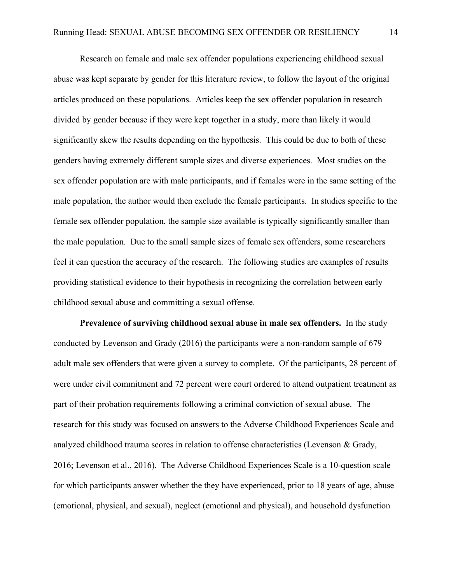Research on female and male sex offender populations experiencing childhood sexual abuse was kept separate by gender for this literature review, to follow the layout of the original articles produced on these populations. Articles keep the sex offender population in research divided by gender because if they were kept together in a study, more than likely it would significantly skew the results depending on the hypothesis. This could be due to both of these genders having extremely different sample sizes and diverse experiences. Most studies on the sex offender population are with male participants, and if females were in the same setting of the male population, the author would then exclude the female participants. In studies specific to the female sex offender population, the sample size available is typically significantly smaller than the male population. Due to the small sample sizes of female sex offenders, some researchers feel it can question the accuracy of the research. The following studies are examples of results providing statistical evidence to their hypothesis in recognizing the correlation between early childhood sexual abuse and committing a sexual offense.

**Prevalence of surviving childhood sexual abuse in male sex offenders.**In the study conducted by Levenson and Grady (2016) the participants were a non-random sample of 679 adult male sex offenders that were given a survey to complete. Of the participants, 28 percent of were under civil commitment and 72 percent were court ordered to attend outpatient treatment as part of their probation requirements following a criminal conviction of sexual abuse. The research for this study was focused on answers to the Adverse Childhood Experiences Scale and analyzed childhood trauma scores in relation to offense characteristics (Levenson & Grady, 2016; Levenson et al., 2016). The Adverse Childhood Experiences Scale is a 10-question scale for which participants answer whether the they have experienced, prior to 18 years of age, abuse (emotional, physical, and sexual), neglect (emotional and physical), and household dysfunction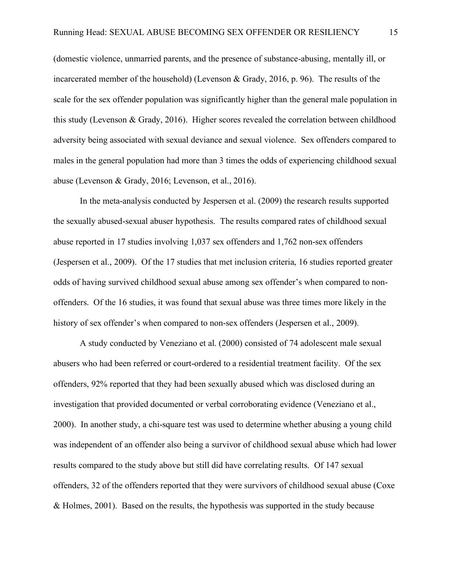(domestic violence, unmarried parents, and the presence of substance-abusing, mentally ill, or incarcerated member of the household) (Levenson & Grady, 2016, p. 96). The results of the scale for the sex offender population was significantly higher than the general male population in this study (Levenson & Grady, 2016). Higher scores revealed the correlation between childhood adversity being associated with sexual deviance and sexual violence. Sex offenders compared to males in the general population had more than 3 times the odds of experiencing childhood sexual abuse (Levenson & Grady, 2016; Levenson, et al., 2016).

In the meta-analysis conducted by Jespersen et al. (2009) the research results supported the sexually abused-sexual abuser hypothesis. The results compared rates of childhood sexual abuse reported in 17 studies involving 1,037 sex offenders and 1,762 non-sex offenders (Jespersen et al., 2009). Of the 17 studies that met inclusion criteria, 16 studies reported greater odds of having survived childhood sexual abuse among sex offender's when compared to nonoffenders. Of the 16 studies, it was found that sexual abuse was three times more likely in the history of sex offender's when compared to non-sex offenders (Jespersen et al., 2009).

A study conducted by Veneziano et al. (2000) consisted of 74 adolescent male sexual abusers who had been referred or court-ordered to a residential treatment facility. Of the sex offenders, 92% reported that they had been sexually abused which was disclosed during an investigation that provided documented or verbal corroborating evidence (Veneziano et al., 2000). In another study, a chi-square test was used to determine whether abusing a young child was independent of an offender also being a survivor of childhood sexual abuse which had lower results compared to the study above but still did have correlating results. Of 147 sexual offenders, 32 of the offenders reported that they were survivors of childhood sexual abuse (Coxe & Holmes, 2001). Based on the results, the hypothesis was supported in the study because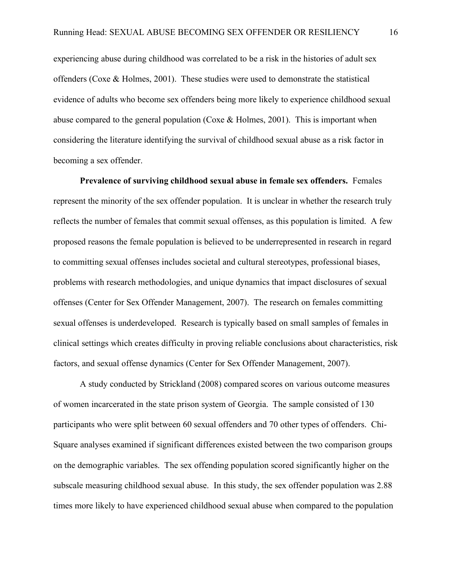experiencing abuse during childhood was correlated to be a risk in the histories of adult sex offenders (Coxe & Holmes, 2001). These studies were used to demonstrate the statistical evidence of adults who become sex offenders being more likely to experience childhood sexual abuse compared to the general population (Coxe & Holmes, 2001). This is important when considering the literature identifying the survival of childhood sexual abuse as a risk factor in becoming a sex offender.

**Prevalence of surviving childhood sexual abuse in female sex offenders.** Females represent the minority of the sex offender population. It is unclear in whether the research truly reflects the number of females that commit sexual offenses, as this population is limited. A few proposed reasons the female population is believed to be underrepresented in research in regard to committing sexual offenses includes societal and cultural stereotypes, professional biases, problems with research methodologies, and unique dynamics that impact disclosures of sexual offenses (Center for Sex Offender Management, 2007). The research on females committing sexual offenses is underdeveloped. Research is typically based on small samples of females in clinical settings which creates difficulty in proving reliable conclusions about characteristics, risk factors, and sexual offense dynamics (Center for Sex Offender Management, 2007).

A study conducted by Strickland (2008) compared scores on various outcome measures of women incarcerated in the state prison system of Georgia. The sample consisted of 130 participants who were split between 60 sexual offenders and 70 other types of offenders. Chi-Square analyses examined if significant differences existed between the two comparison groups on the demographic variables. The sex offending population scored significantly higher on the subscale measuring childhood sexual abuse. In this study, the sex offender population was 2.88 times more likely to have experienced childhood sexual abuse when compared to the population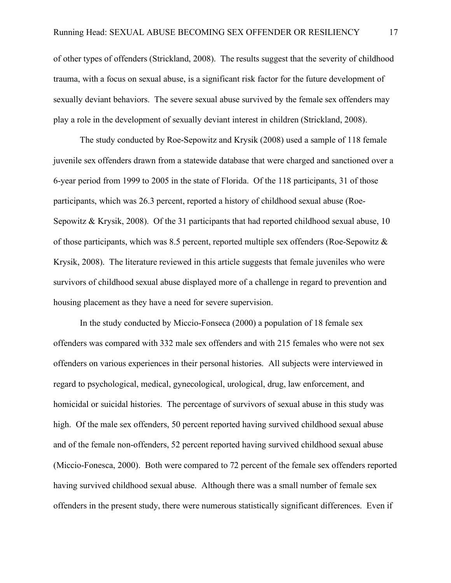of other types of offenders (Strickland, 2008). The results suggest that the severity of childhood trauma, with a focus on sexual abuse, is a significant risk factor for the future development of sexually deviant behaviors. The severe sexual abuse survived by the female sex offenders may play a role in the development of sexually deviant interest in children (Strickland, 2008).

The study conducted by Roe-Sepowitz and Krysik (2008) used a sample of 118 female juvenile sex offenders drawn from a statewide database that were charged and sanctioned over a 6-year period from 1999 to 2005 in the state of Florida. Of the 118 participants, 31 of those participants, which was 26.3 percent, reported a history of childhood sexual abuse (Roe-Sepowitz & Krysik, 2008). Of the 31 participants that had reported childhood sexual abuse, 10 of those participants, which was 8.5 percent, reported multiple sex offenders (Roe-Sepowitz & Krysik, 2008). The literature reviewed in this article suggests that female juveniles who were survivors of childhood sexual abuse displayed more of a challenge in regard to prevention and housing placement as they have a need for severe supervision.

In the study conducted by Miccio-Fonseca (2000) a population of 18 female sex offenders was compared with 332 male sex offenders and with 215 females who were not sex offenders on various experiences in their personal histories. All subjects were interviewed in regard to psychological, medical, gynecological, urological, drug, law enforcement, and homicidal or suicidal histories. The percentage of survivors of sexual abuse in this study was high. Of the male sex offenders, 50 percent reported having survived childhood sexual abuse and of the female non-offenders, 52 percent reported having survived childhood sexual abuse (Miccio-Fonesca, 2000). Both were compared to 72 percent of the female sex offenders reported having survived childhood sexual abuse. Although there was a small number of female sex offenders in the present study, there were numerous statistically significant differences. Even if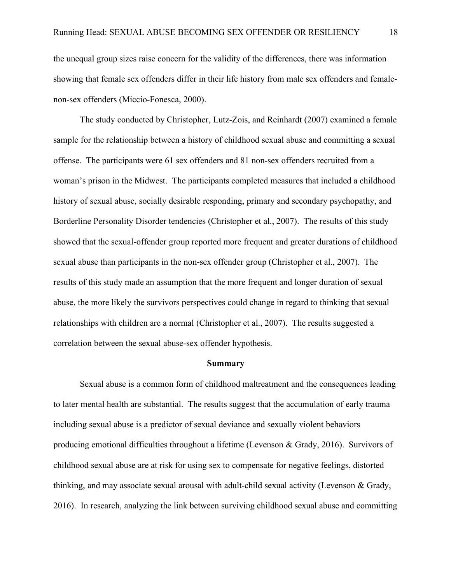the unequal group sizes raise concern for the validity of the differences, there was information showing that female sex offenders differ in their life history from male sex offenders and femalenon-sex offenders (Miccio-Fonesca, 2000).

The study conducted by Christopher, Lutz-Zois, and Reinhardt (2007) examined a female sample for the relationship between a history of childhood sexual abuse and committing a sexual offense. The participants were 61 sex offenders and 81 non-sex offenders recruited from a woman's prison in the Midwest. The participants completed measures that included a childhood history of sexual abuse, socially desirable responding, primary and secondary psychopathy, and Borderline Personality Disorder tendencies (Christopher et al., 2007). The results of this study showed that the sexual-offender group reported more frequent and greater durations of childhood sexual abuse than participants in the non-sex offender group (Christopher et al., 2007). The results of this study made an assumption that the more frequent and longer duration of sexual abuse, the more likely the survivors perspectives could change in regard to thinking that sexual relationships with children are a normal (Christopher et al., 2007). The results suggested a correlation between the sexual abuse-sex offender hypothesis.

#### **Summary**

Sexual abuse is a common form of childhood maltreatment and the consequences leading to later mental health are substantial. The results suggest that the accumulation of early trauma including sexual abuse is a predictor of sexual deviance and sexually violent behaviors producing emotional difficulties throughout a lifetime (Levenson & Grady, 2016). Survivors of childhood sexual abuse are at risk for using sex to compensate for negative feelings, distorted thinking, and may associate sexual arousal with adult-child sexual activity (Levenson & Grady, 2016). In research, analyzing the link between surviving childhood sexual abuse and committing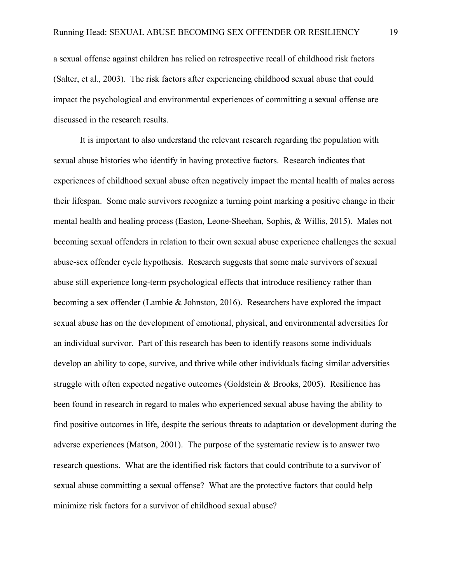a sexual offense against children has relied on retrospective recall of childhood risk factors (Salter, et al., 2003). The risk factors after experiencing childhood sexual abuse that could impact the psychological and environmental experiences of committing a sexual offense are discussed in the research results.

It is important to also understand the relevant research regarding the population with sexual abuse histories who identify in having protective factors. Research indicates that experiences of childhood sexual abuse often negatively impact the mental health of males across their lifespan. Some male survivors recognize a turning point marking a positive change in their mental health and healing process (Easton, Leone-Sheehan, Sophis, & Willis, 2015). Males not becoming sexual offenders in relation to their own sexual abuse experience challenges the sexual abuse-sex offender cycle hypothesis. Research suggests that some male survivors of sexual abuse still experience long-term psychological effects that introduce resiliency rather than becoming a sex offender (Lambie & Johnston, 2016). Researchers have explored the impact sexual abuse has on the development of emotional, physical, and environmental adversities for an individual survivor. Part of this research has been to identify reasons some individuals develop an ability to cope, survive, and thrive while other individuals facing similar adversities struggle with often expected negative outcomes (Goldstein & Brooks, 2005). Resilience has been found in research in regard to males who experienced sexual abuse having the ability to find positive outcomes in life, despite the serious threats to adaptation or development during the adverse experiences (Matson, 2001). The purpose of the systematic review is to answer two research questions. What are the identified risk factors that could contribute to a survivor of sexual abuse committing a sexual offense? What are the protective factors that could help minimize risk factors for a survivor of childhood sexual abuse?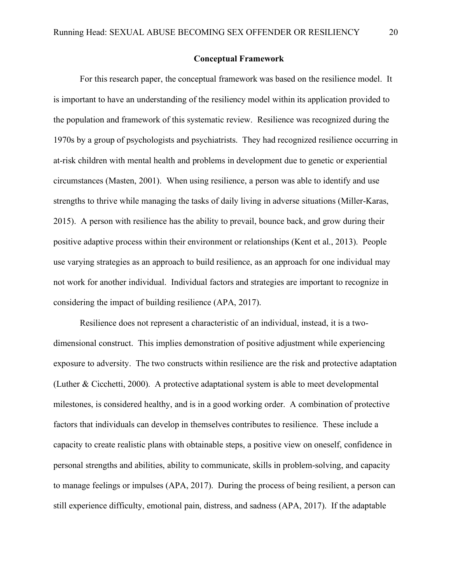#### **Conceptual Framework**

For this research paper, the conceptual framework was based on the resilience model. It is important to have an understanding of the resiliency model within its application provided to the population and framework of this systematic review. Resilience was recognized during the 1970s by a group of psychologists and psychiatrists. They had recognized resilience occurring in at-risk children with mental health and problems in development due to genetic or experiential circumstances (Masten, 2001). When using resilience, a person was able to identify and use strengths to thrive while managing the tasks of daily living in adverse situations (Miller-Karas, 2015). A person with resilience has the ability to prevail, bounce back, and grow during their positive adaptive process within their environment or relationships (Kent et al., 2013). People use varying strategies as an approach to build resilience, as an approach for one individual may not work for another individual. Individual factors and strategies are important to recognize in considering the impact of building resilience (APA, 2017).

Resilience does not represent a characteristic of an individual, instead, it is a twodimensional construct. This implies demonstration of positive adjustment while experiencing exposure to adversity. The two constructs within resilience are the risk and protective adaptation (Luther & Cicchetti, 2000). A protective adaptational system is able to meet developmental milestones, is considered healthy, and is in a good working order. A combination of protective factors that individuals can develop in themselves contributes to resilience. These include a capacity to create realistic plans with obtainable steps, a positive view on oneself, confidence in personal strengths and abilities, ability to communicate, skills in problem-solving, and capacity to manage feelings or impulses (APA, 2017). During the process of being resilient, a person can still experience difficulty, emotional pain, distress, and sadness (APA, 2017). If the adaptable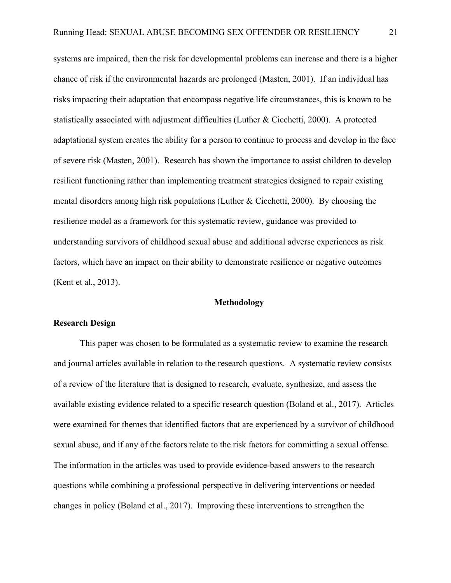systems are impaired, then the risk for developmental problems can increase and there is a higher chance of risk if the environmental hazards are prolonged (Masten, 2001). If an individual has risks impacting their adaptation that encompass negative life circumstances, this is known to be statistically associated with adjustment difficulties (Luther & Cicchetti, 2000). A protected adaptational system creates the ability for a person to continue to process and develop in the face of severe risk (Masten, 2001). Research has shown the importance to assist children to develop resilient functioning rather than implementing treatment strategies designed to repair existing mental disorders among high risk populations (Luther & Cicchetti, 2000). By choosing the resilience model as a framework for this systematic review, guidance was provided to understanding survivors of childhood sexual abuse and additional adverse experiences as risk factors, which have an impact on their ability to demonstrate resilience or negative outcomes (Kent et al., 2013).

#### **Methodology**

#### **Research Design**

This paper was chosen to be formulated as a systematic review to examine the research and journal articles available in relation to the research questions. A systematic review consists of a review of the literature that is designed to research, evaluate, synthesize, and assess the available existing evidence related to a specific research question (Boland et al., 2017). Articles were examined for themes that identified factors that are experienced by a survivor of childhood sexual abuse, and if any of the factors relate to the risk factors for committing a sexual offense. The information in the articles was used to provide evidence-based answers to the research questions while combining a professional perspective in delivering interventions or needed changes in policy (Boland et al., 2017). Improving these interventions to strengthen the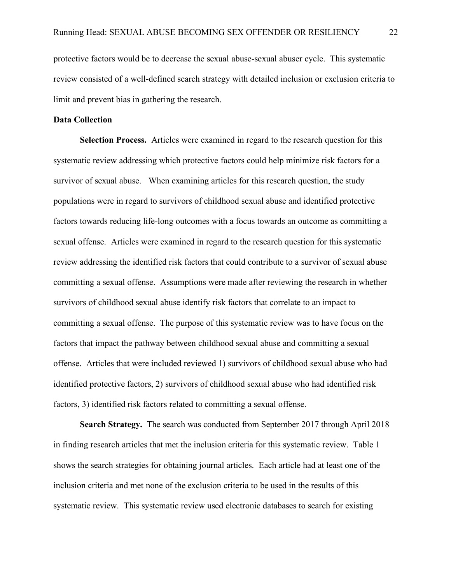protective factors would be to decrease the sexual abuse-sexual abuser cycle. This systematic review consisted of a well-defined search strategy with detailed inclusion or exclusion criteria to limit and prevent bias in gathering the research.

#### **Data Collection**

**Selection Process.**Articles were examined in regard to the research question for this systematic review addressing which protective factors could help minimize risk factors for a survivor of sexual abuse. When examining articles for this research question, the study populations were in regard to survivors of childhood sexual abuse and identified protective factors towards reducing life-long outcomes with a focus towards an outcome as committing a sexual offense. Articles were examined in regard to the research question for this systematic review addressing the identified risk factors that could contribute to a survivor of sexual abuse committing a sexual offense. Assumptions were made after reviewing the research in whether survivors of childhood sexual abuse identify risk factors that correlate to an impact to committing a sexual offense. The purpose of this systematic review was to have focus on the factors that impact the pathway between childhood sexual abuse and committing a sexual offense. Articles that were included reviewed 1) survivors of childhood sexual abuse who had identified protective factors, 2) survivors of childhood sexual abuse who had identified risk factors, 3) identified risk factors related to committing a sexual offense.

**Search Strategy.**The search was conducted from September 2017 through April 2018 in finding research articles that met the inclusion criteria for this systematic review. Table 1 shows the search strategies for obtaining journal articles. Each article had at least one of the inclusion criteria and met none of the exclusion criteria to be used in the results of this systematic review. This systematic review used electronic databases to search for existing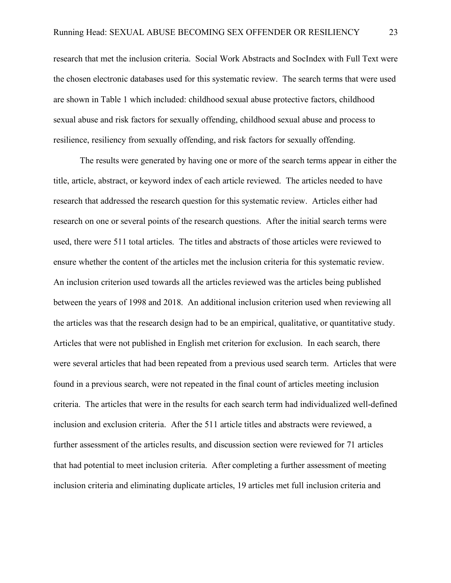research that met the inclusion criteria. Social Work Abstracts and SocIndex with Full Text were the chosen electronic databases used for this systematic review. The search terms that were used are shown in Table 1 which included: childhood sexual abuse protective factors, childhood sexual abuse and risk factors for sexually offending, childhood sexual abuse and process to resilience, resiliency from sexually offending, and risk factors for sexually offending.

The results were generated by having one or more of the search terms appear in either the title, article, abstract, or keyword index of each article reviewed. The articles needed to have research that addressed the research question for this systematic review. Articles either had research on one or several points of the research questions. After the initial search terms were used, there were 511 total articles. The titles and abstracts of those articles were reviewed to ensure whether the content of the articles met the inclusion criteria for this systematic review. An inclusion criterion used towards all the articles reviewed was the articles being published between the years of 1998 and 2018. An additional inclusion criterion used when reviewing all the articles was that the research design had to be an empirical, qualitative, or quantitative study. Articles that were not published in English met criterion for exclusion. In each search, there were several articles that had been repeated from a previous used search term. Articles that were found in a previous search, were not repeated in the final count of articles meeting inclusion criteria. The articles that were in the results for each search term had individualized well-defined inclusion and exclusion criteria. After the 511 article titles and abstracts were reviewed, a further assessment of the articles results, and discussion section were reviewed for 71 articles that had potential to meet inclusion criteria. After completing a further assessment of meeting inclusion criteria and eliminating duplicate articles, 19 articles met full inclusion criteria and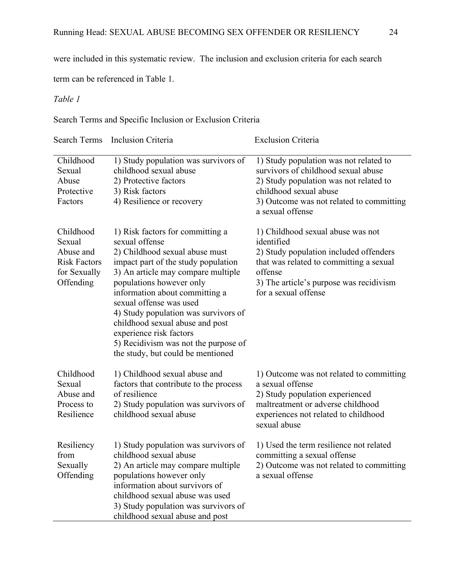were included in this systematic review. The inclusion and exclusion criteria for each search

term can be referenced in Table 1.

## *Table 1*

Search Terms and Specific Inclusion or Exclusion Criteria

|                                                                                      | Search Terms Inclusion Criteria                                                                                                                                                                                                                                                                                                                                                                                                               | <b>Exclusion Criteria</b>                                                                                                                                                                                          |
|--------------------------------------------------------------------------------------|-----------------------------------------------------------------------------------------------------------------------------------------------------------------------------------------------------------------------------------------------------------------------------------------------------------------------------------------------------------------------------------------------------------------------------------------------|--------------------------------------------------------------------------------------------------------------------------------------------------------------------------------------------------------------------|
| Childhood<br>Sexual<br>Abuse<br>Protective<br>Factors                                | 1) Study population was survivors of<br>childhood sexual abuse<br>2) Protective factors<br>3) Risk factors<br>4) Resilience or recovery                                                                                                                                                                                                                                                                                                       | 1) Study population was not related to<br>survivors of childhood sexual abuse<br>2) Study population was not related to<br>childhood sexual abuse<br>3) Outcome was not related to committing<br>a sexual offense  |
| Childhood<br>Sexual<br>Abuse and<br><b>Risk Factors</b><br>for Sexually<br>Offending | 1) Risk factors for committing a<br>sexual offense<br>2) Childhood sexual abuse must<br>impact part of the study population<br>3) An article may compare multiple<br>populations however only<br>information about committing a<br>sexual offense was used<br>4) Study population was survivors of<br>childhood sexual abuse and post<br>experience risk factors<br>5) Recidivism was not the purpose of<br>the study, but could be mentioned | 1) Childhood sexual abuse was not<br>identified<br>2) Study population included offenders<br>that was related to committing a sexual<br>offense<br>3) The article's purpose was recidivism<br>for a sexual offense |
| Childhood<br>Sexual<br>Abuse and<br>Process to<br>Resilience                         | 1) Childhood sexual abuse and<br>factors that contribute to the process<br>of resilience<br>2) Study population was survivors of<br>childhood sexual abuse                                                                                                                                                                                                                                                                                    | 1) Outcome was not related to committing<br>a sexual offense<br>2) Study population experienced<br>maltreatment or adverse childhood<br>experiences not related to childhood<br>sexual abuse                       |
| Resiliency<br>from<br>Sexually<br>Offending                                          | 1) Study population was survivors of<br>childhood sexual abuse<br>2) An article may compare multiple<br>populations however only<br>information about survivors of<br>childhood sexual abuse was used<br>3) Study population was survivors of<br>childhood sexual abuse and post                                                                                                                                                              | 1) Used the term resilience not related<br>committing a sexual offense<br>2) Outcome was not related to committing<br>a sexual offense                                                                             |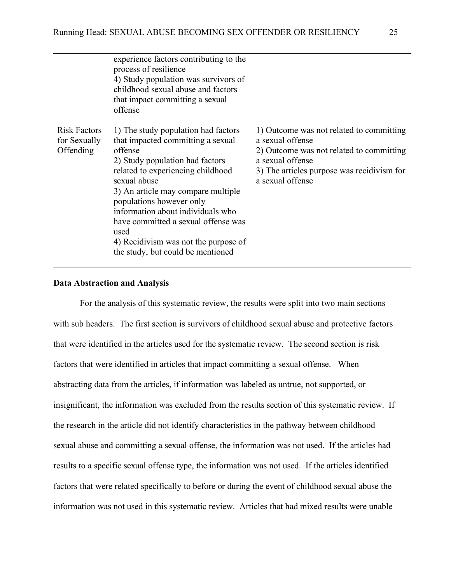|                                                  | experience factors contributing to the<br>process of resilience<br>4) Study population was survivors of<br>childhood sexual abuse and factors<br>that impact committing a sexual<br>offense                                                                                                                                                                                                                    |                                                                                                                                                                                                |
|--------------------------------------------------|----------------------------------------------------------------------------------------------------------------------------------------------------------------------------------------------------------------------------------------------------------------------------------------------------------------------------------------------------------------------------------------------------------------|------------------------------------------------------------------------------------------------------------------------------------------------------------------------------------------------|
| <b>Risk Factors</b><br>for Sexually<br>Offending | 1) The study population had factors<br>that impacted committing a sexual<br>offense<br>2) Study population had factors<br>related to experiencing childhood<br>sexual abuse<br>3) An article may compare multiple<br>populations however only<br>information about individuals who<br>have committed a sexual offense was<br>used<br>4) Recidivism was not the purpose of<br>the study, but could be mentioned | 1) Outcome was not related to committing<br>a sexual offense<br>2) Outcome was not related to committing<br>a sexual offense<br>3) The articles purpose was recidivism for<br>a sexual offense |

#### **Data Abstraction and Analysis**

For the analysis of this systematic review, the results were split into two main sections with sub headers. The first section is survivors of childhood sexual abuse and protective factors that were identified in the articles used for the systematic review. The second section is risk factors that were identified in articles that impact committing a sexual offense. When abstracting data from the articles, if information was labeled as untrue, not supported, or insignificant, the information was excluded from the results section of this systematic review. If the research in the article did not identify characteristics in the pathway between childhood sexual abuse and committing a sexual offense, the information was not used. If the articles had results to a specific sexual offense type, the information was not used. If the articles identified factors that were related specifically to before or during the event of childhood sexual abuse the information was not used in this systematic review. Articles that had mixed results were unable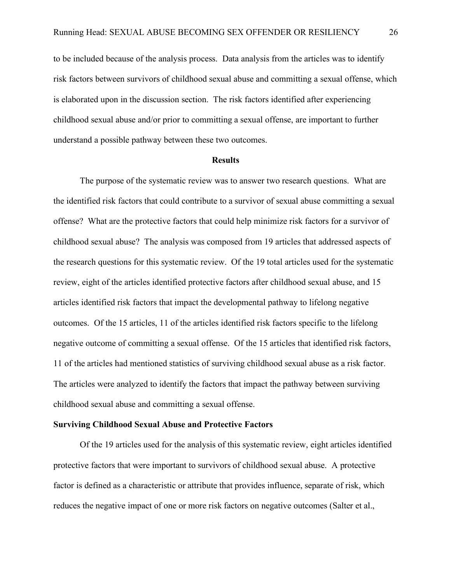to be included because of the analysis process. Data analysis from the articles was to identify risk factors between survivors of childhood sexual abuse and committing a sexual offense, which is elaborated upon in the discussion section. The risk factors identified after experiencing childhood sexual abuse and/or prior to committing a sexual offense, are important to further understand a possible pathway between these two outcomes.

#### **Results**

The purpose of the systematic review was to answer two research questions. What are the identified risk factors that could contribute to a survivor of sexual abuse committing a sexual offense? What are the protective factors that could help minimize risk factors for a survivor of childhood sexual abuse? The analysis was composed from 19 articles that addressed aspects of the research questions for this systematic review. Of the 19 total articles used for the systematic review, eight of the articles identified protective factors after childhood sexual abuse, and 15 articles identified risk factors that impact the developmental pathway to lifelong negative outcomes. Of the 15 articles, 11 of the articles identified risk factors specific to the lifelong negative outcome of committing a sexual offense. Of the 15 articles that identified risk factors, 11 of the articles had mentioned statistics of surviving childhood sexual abuse as a risk factor. The articles were analyzed to identify the factors that impact the pathway between surviving childhood sexual abuse and committing a sexual offense.

#### **Surviving Childhood Sexual Abuse and Protective Factors**

Of the 19 articles used for the analysis of this systematic review, eight articles identified protective factors that were important to survivors of childhood sexual abuse. A protective factor is defined as a characteristic or attribute that provides influence, separate of risk, which reduces the negative impact of one or more risk factors on negative outcomes (Salter et al.,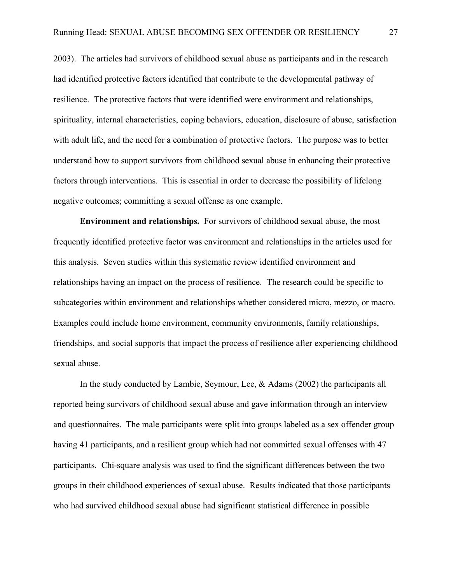2003). The articles had survivors of childhood sexual abuse as participants and in the research had identified protective factors identified that contribute to the developmental pathway of resilience. The protective factors that were identified were environment and relationships, spirituality, internal characteristics, coping behaviors, education, disclosure of abuse, satisfaction with adult life, and the need for a combination of protective factors. The purpose was to better understand how to support survivors from childhood sexual abuse in enhancing their protective factors through interventions. This is essential in order to decrease the possibility of lifelong negative outcomes; committing a sexual offense as one example.

**Environment and relationships.**For survivors of childhood sexual abuse, the most frequently identified protective factor was environment and relationships in the articles used for this analysis. Seven studies within this systematic review identified environment and relationships having an impact on the process of resilience. The research could be specific to subcategories within environment and relationships whether considered micro, mezzo, or macro. Examples could include home environment, community environments, family relationships, friendships, and social supports that impact the process of resilience after experiencing childhood sexual abuse.

In the study conducted by Lambie, Seymour, Lee, & Adams (2002) the participants all reported being survivors of childhood sexual abuse and gave information through an interview and questionnaires. The male participants were split into groups labeled as a sex offender group having 41 participants, and a resilient group which had not committed sexual offenses with 47 participants. Chi-square analysis was used to find the significant differences between the two groups in their childhood experiences of sexual abuse. Results indicated that those participants who had survived childhood sexual abuse had significant statistical difference in possible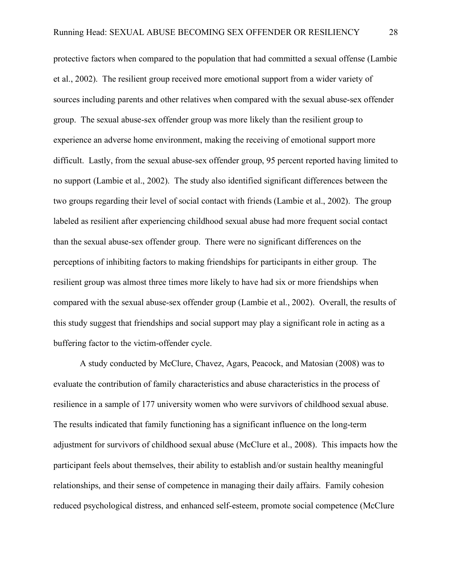protective factors when compared to the population that had committed a sexual offense (Lambie et al., 2002). The resilient group received more emotional support from a wider variety of sources including parents and other relatives when compared with the sexual abuse-sex offender group. The sexual abuse-sex offender group was more likely than the resilient group to experience an adverse home environment, making the receiving of emotional support more difficult. Lastly, from the sexual abuse-sex offender group, 95 percent reported having limited to no support (Lambie et al., 2002). The study also identified significant differences between the two groups regarding their level of social contact with friends (Lambie et al., 2002). The group labeled as resilient after experiencing childhood sexual abuse had more frequent social contact than the sexual abuse-sex offender group. There were no significant differences on the perceptions of inhibiting factors to making friendships for participants in either group. The resilient group was almost three times more likely to have had six or more friendships when compared with the sexual abuse-sex offender group (Lambie et al., 2002). Overall, the results of this study suggest that friendships and social support may play a significant role in acting as a buffering factor to the victim-offender cycle.

A study conducted by McClure, Chavez, Agars, Peacock, and Matosian (2008) was to evaluate the contribution of family characteristics and abuse characteristics in the process of resilience in a sample of 177 university women who were survivors of childhood sexual abuse. The results indicated that family functioning has a significant influence on the long-term adjustment for survivors of childhood sexual abuse (McClure et al., 2008). This impacts how the participant feels about themselves, their ability to establish and/or sustain healthy meaningful relationships, and their sense of competence in managing their daily affairs. Family cohesion reduced psychological distress, and enhanced self-esteem, promote social competence (McClure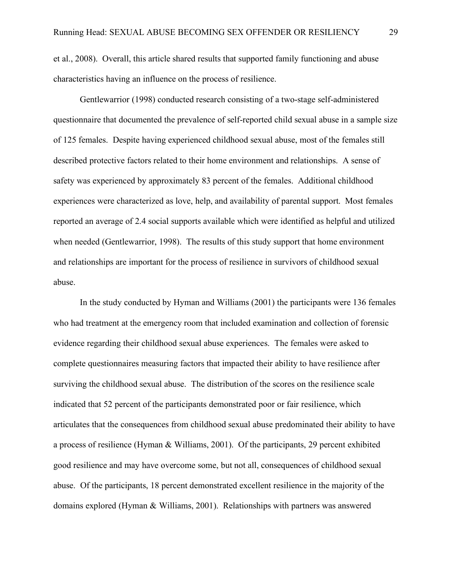et al., 2008). Overall, this article shared results that supported family functioning and abuse characteristics having an influence on the process of resilience.

Gentlewarrior (1998) conducted research consisting of a two-stage self-administered questionnaire that documented the prevalence of self-reported child sexual abuse in a sample size of 125 females. Despite having experienced childhood sexual abuse, most of the females still described protective factors related to their home environment and relationships. A sense of safety was experienced by approximately 83 percent of the females. Additional childhood experiences were characterized as love, help, and availability of parental support. Most females reported an average of 2.4 social supports available which were identified as helpful and utilized when needed (Gentlewarrior, 1998). The results of this study support that home environment and relationships are important for the process of resilience in survivors of childhood sexual abuse.

In the study conducted by Hyman and Williams (2001) the participants were 136 females who had treatment at the emergency room that included examination and collection of forensic evidence regarding their childhood sexual abuse experiences. The females were asked to complete questionnaires measuring factors that impacted their ability to have resilience after surviving the childhood sexual abuse. The distribution of the scores on the resilience scale indicated that 52 percent of the participants demonstrated poor or fair resilience, which articulates that the consequences from childhood sexual abuse predominated their ability to have a process of resilience (Hyman & Williams, 2001). Of the participants, 29 percent exhibited good resilience and may have overcome some, but not all, consequences of childhood sexual abuse. Of the participants, 18 percent demonstrated excellent resilience in the majority of the domains explored (Hyman & Williams, 2001). Relationships with partners was answered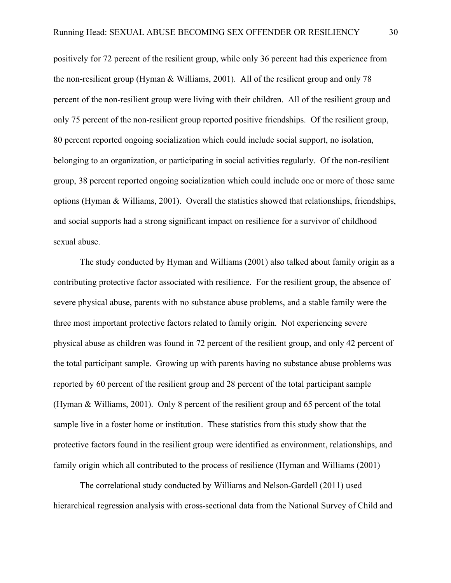positively for 72 percent of the resilient group, while only 36 percent had this experience from the non-resilient group (Hyman & Williams, 2001). All of the resilient group and only 78 percent of the non-resilient group were living with their children. All of the resilient group and only 75 percent of the non-resilient group reported positive friendships. Of the resilient group, 80 percent reported ongoing socialization which could include social support, no isolation, belonging to an organization, or participating in social activities regularly. Of the non-resilient group, 38 percent reported ongoing socialization which could include one or more of those same options (Hyman & Williams, 2001). Overall the statistics showed that relationships, friendships, and social supports had a strong significant impact on resilience for a survivor of childhood sexual abuse.

The study conducted by Hyman and Williams (2001) also talked about family origin as a contributing protective factor associated with resilience. For the resilient group, the absence of severe physical abuse, parents with no substance abuse problems, and a stable family were the three most important protective factors related to family origin. Not experiencing severe physical abuse as children was found in 72 percent of the resilient group, and only 42 percent of the total participant sample. Growing up with parents having no substance abuse problems was reported by 60 percent of the resilient group and 28 percent of the total participant sample (Hyman & Williams, 2001). Only 8 percent of the resilient group and 65 percent of the total sample live in a foster home or institution. These statistics from this study show that the protective factors found in the resilient group were identified as environment, relationships, and family origin which all contributed to the process of resilience (Hyman and Williams (2001)

The correlational study conducted by Williams and Nelson-Gardell (2011) used hierarchical regression analysis with cross-sectional data from the National Survey of Child and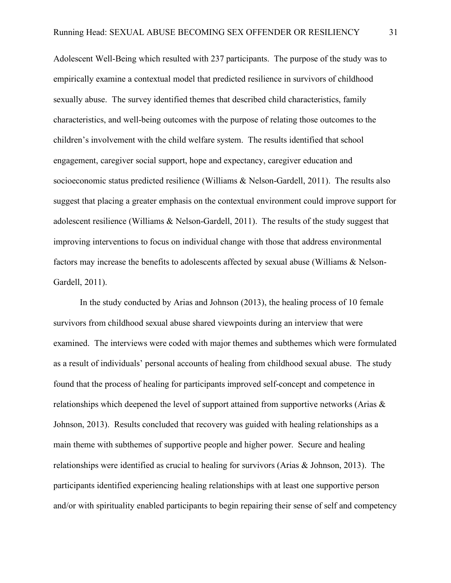Adolescent Well-Being which resulted with 237 participants. The purpose of the study was to empirically examine a contextual model that predicted resilience in survivors of childhood sexually abuse. The survey identified themes that described child characteristics, family characteristics, and well-being outcomes with the purpose of relating those outcomes to the children's involvement with the child welfare system. The results identified that school engagement, caregiver social support, hope and expectancy, caregiver education and socioeconomic status predicted resilience (Williams & Nelson-Gardell, 2011). The results also suggest that placing a greater emphasis on the contextual environment could improve support for adolescent resilience (Williams & Nelson-Gardell, 2011). The results of the study suggest that improving interventions to focus on individual change with those that address environmental factors may increase the benefits to adolescents affected by sexual abuse (Williams & Nelson-Gardell, 2011).

In the study conducted by Arias and Johnson (2013), the healing process of 10 female survivors from childhood sexual abuse shared viewpoints during an interview that were examined. The interviews were coded with major themes and subthemes which were formulated as a result of individuals' personal accounts of healing from childhood sexual abuse. The study found that the process of healing for participants improved self-concept and competence in relationships which deepened the level of support attained from supportive networks (Arias & Johnson, 2013). Results concluded that recovery was guided with healing relationships as a main theme with subthemes of supportive people and higher power. Secure and healing relationships were identified as crucial to healing for survivors (Arias & Johnson, 2013). The participants identified experiencing healing relationships with at least one supportive person and/or with spirituality enabled participants to begin repairing their sense of self and competency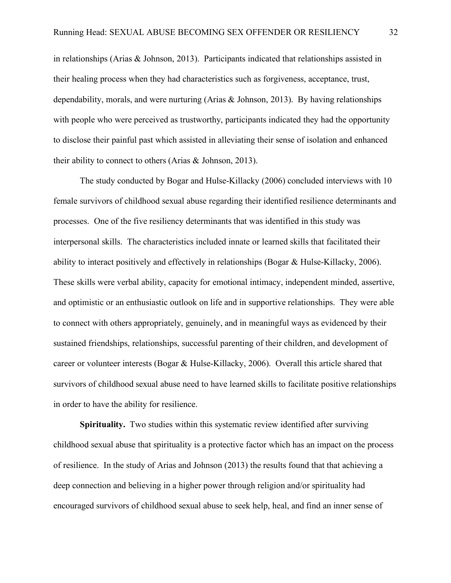in relationships (Arias & Johnson, 2013). Participants indicated that relationships assisted in their healing process when they had characteristics such as forgiveness, acceptance, trust, dependability, morals, and were nurturing (Arias  $\&$  Johnson, 2013). By having relationships with people who were perceived as trustworthy, participants indicated they had the opportunity to disclose their painful past which assisted in alleviating their sense of isolation and enhanced their ability to connect to others (Arias & Johnson, 2013).

The study conducted by Bogar and Hulse-Killacky (2006) concluded interviews with 10 female survivors of childhood sexual abuse regarding their identified resilience determinants and processes. One of the five resiliency determinants that was identified in this study was interpersonal skills. The characteristics included innate or learned skills that facilitated their ability to interact positively and effectively in relationships (Bogar & Hulse-Killacky, 2006). These skills were verbal ability, capacity for emotional intimacy, independent minded, assertive, and optimistic or an enthusiastic outlook on life and in supportive relationships. They were able to connect with others appropriately, genuinely, and in meaningful ways as evidenced by their sustained friendships, relationships, successful parenting of their children, and development of career or volunteer interests (Bogar & Hulse-Killacky, 2006). Overall this article shared that survivors of childhood sexual abuse need to have learned skills to facilitate positive relationships in order to have the ability for resilience.

**Spirituality.** Two studies within this systematic review identified after surviving childhood sexual abuse that spirituality is a protective factor which has an impact on the process of resilience. In the study of Arias and Johnson (2013) the results found that that achieving a deep connection and believing in a higher power through religion and/or spirituality had encouraged survivors of childhood sexual abuse to seek help, heal, and find an inner sense of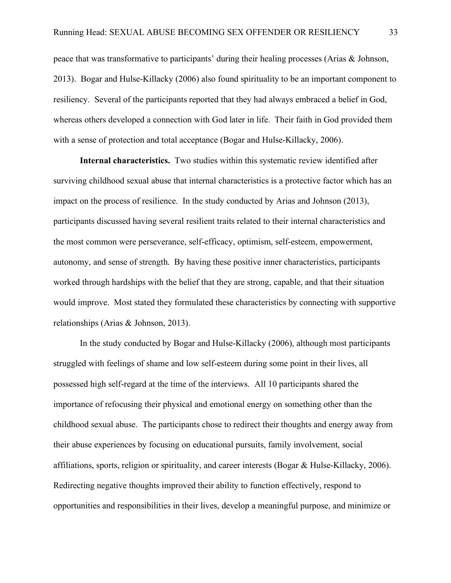peace that was transformative to participants' during their healing processes (Arias & Johnson, 2013). Bogar and Hulse-Killacky (2006) also found spirituality to be an important component to resiliency.Several of the participants reported that they had always embraced a belief in God, whereas others developed a connection with God later in life. Their faith in God provided them with a sense of protection and total acceptance (Bogar and Hulse-Killacky, 2006).

**Internal characteristics.** Two studies within this systematic review identified after surviving childhood sexual abuse that internal characteristics is a protective factor which has an impact on the process of resilience. In the study conducted by Arias and Johnson (2013), participants discussed having several resilient traits related to their internal characteristics and the most common were perseverance, self-efficacy, optimism, self-esteem, empowerment, autonomy, and sense of strength. By having these positive inner characteristics, participants worked through hardships with the belief that they are strong, capable, and that their situation would improve. Most stated they formulated these characteristics by connecting with supportive relationships (Arias & Johnson, 2013).

In the study conducted by Bogar and Hulse-Killacky (2006), although most participants struggled with feelings of shame and low self-esteem during some point in their lives, all possessed high self-regard at the time of the interviews. All 10 participants shared the importance of refocusing their physical and emotional energy on something other than the childhood sexual abuse. The participants chose to redirect their thoughts and energy away from their abuse experiences by focusing on educational pursuits, family involvement, social affiliations, sports, religion or spirituality, and career interests (Bogar & Hulse-Killacky, 2006). Redirecting negative thoughts improved their ability to function effectively, respond to opportunities and responsibilities in their lives, develop a meaningful purpose, and minimize or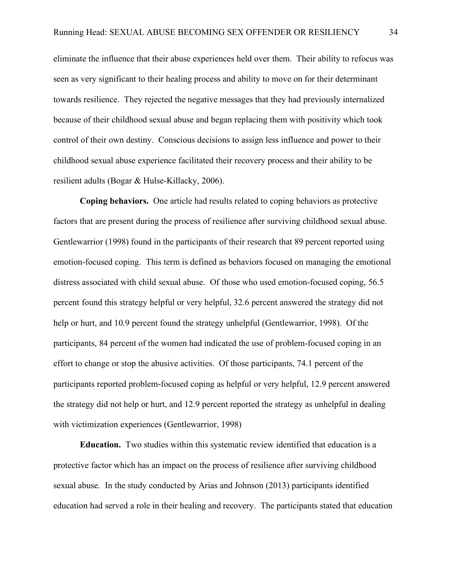eliminate the influence that their abuse experiences held over them. Their ability to refocus was seen as very significant to their healing process and ability to move on for their determinant towards resilience. They rejected the negative messages that they had previously internalized because of their childhood sexual abuse and began replacing them with positivity which took control of their own destiny. Conscious decisions to assign less influence and power to their childhood sexual abuse experience facilitated their recovery process and their ability to be resilient adults (Bogar & Hulse-Killacky, 2006).

**Coping behaviors.** One article had results related to coping behaviors as protective factors that are present during the process of resilience after surviving childhood sexual abuse. Gentlewarrior (1998) found in the participants of their research that 89 percent reported using emotion-focused coping. This term is defined as behaviors focused on managing the emotional distress associated with child sexual abuse. Of those who used emotion-focused coping, 56.5 percent found this strategy helpful or very helpful, 32.6 percent answered the strategy did not help or hurt, and 10.9 percent found the strategy unhelpful (Gentlewarrior, 1998). Of the participants, 84 percent of the women had indicated the use of problem-focused coping in an effort to change or stop the abusive activities. Of those participants, 74.1 percent of the participants reported problem-focused coping as helpful or very helpful, 12.9 percent answered the strategy did not help or hurt, and 12.9 percent reported the strategy as unhelpful in dealing with victimization experiences (Gentlewarrior, 1998)

**Education.** Two studies within this systematic review identified that education is a protective factor which has an impact on the process of resilience after surviving childhood sexual abuse. In the study conducted by Arias and Johnson (2013) participants identified education had served a role in their healing and recovery. The participants stated that education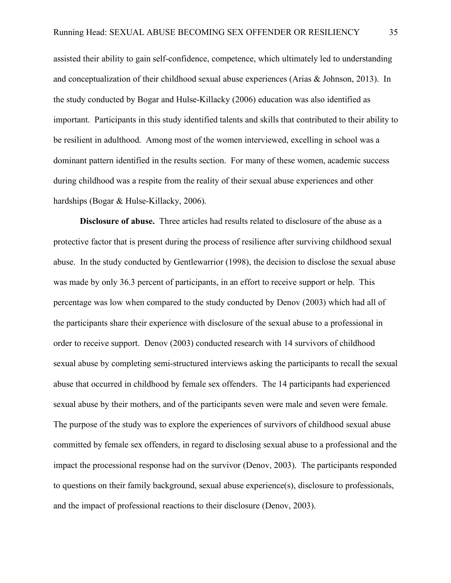assisted their ability to gain self-confidence, competence, which ultimately led to understanding and conceptualization of their childhood sexual abuse experiences (Arias & Johnson, 2013). In the study conducted by Bogar and Hulse-Killacky (2006) education was also identified as important. Participants in this study identified talents and skills that contributed to their ability to be resilient in adulthood. Among most of the women interviewed, excelling in school was a dominant pattern identified in the results section. For many of these women, academic success during childhood was a respite from the reality of their sexual abuse experiences and other hardships (Bogar & Hulse-Killacky, 2006).

**Disclosure of abuse.** Three articles had results related to disclosure of the abuse as a protective factor that is present during the process of resilience after surviving childhood sexual abuse. In the study conducted by Gentlewarrior (1998), the decision to disclose the sexual abuse was made by only 36.3 percent of participants, in an effort to receive support or help. This percentage was low when compared to the study conducted by Denov (2003) which had all of the participants share their experience with disclosure of the sexual abuse to a professional in order to receive support. Denov (2003) conducted research with 14 survivors of childhood sexual abuse by completing semi-structured interviews asking the participants to recall the sexual abuse that occurred in childhood by female sex offenders. The 14 participants had experienced sexual abuse by their mothers, and of the participants seven were male and seven were female. The purpose of the study was to explore the experiences of survivors of childhood sexual abuse committed by female sex offenders, in regard to disclosing sexual abuse to a professional and the impact the processional response had on the survivor (Denov, 2003). The participants responded to questions on their family background, sexual abuse experience(s), disclosure to professionals, and the impact of professional reactions to their disclosure (Denov, 2003).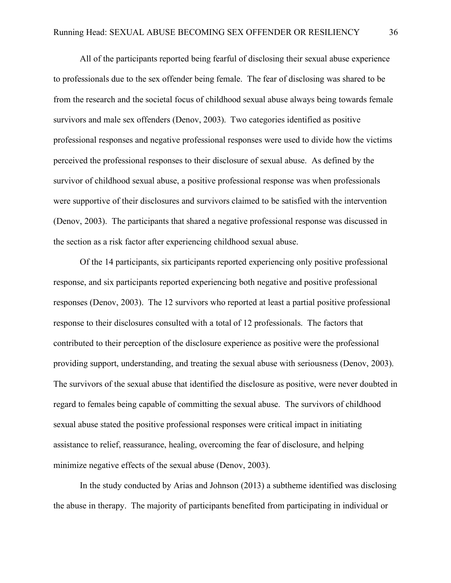All of the participants reported being fearful of disclosing their sexual abuse experience to professionals due to the sex offender being female. The fear of disclosing was shared to be from the research and the societal focus of childhood sexual abuse always being towards female survivors and male sex offenders (Denov, 2003). Two categories identified as positive professional responses and negative professional responses were used to divide how the victims perceived the professional responses to their disclosure of sexual abuse. As defined by the survivor of childhood sexual abuse, a positive professional response was when professionals were supportive of their disclosures and survivors claimed to be satisfied with the intervention (Denov, 2003). The participants that shared a negative professional response was discussed in the section as a risk factor after experiencing childhood sexual abuse.

Of the 14 participants, six participants reported experiencing only positive professional response, and six participants reported experiencing both negative and positive professional responses (Denov, 2003). The 12 survivors who reported at least a partial positive professional response to their disclosures consulted with a total of 12 professionals. The factors that contributed to their perception of the disclosure experience as positive were the professional providing support, understanding, and treating the sexual abuse with seriousness (Denov, 2003). The survivors of the sexual abuse that identified the disclosure as positive, were never doubted in regard to females being capable of committing the sexual abuse. The survivors of childhood sexual abuse stated the positive professional responses were critical impact in initiating assistance to relief, reassurance, healing, overcoming the fear of disclosure, and helping minimize negative effects of the sexual abuse (Denov, 2003).

In the study conducted by Arias and Johnson (2013) a subtheme identified was disclosing the abuse in therapy. The majority of participants benefited from participating in individual or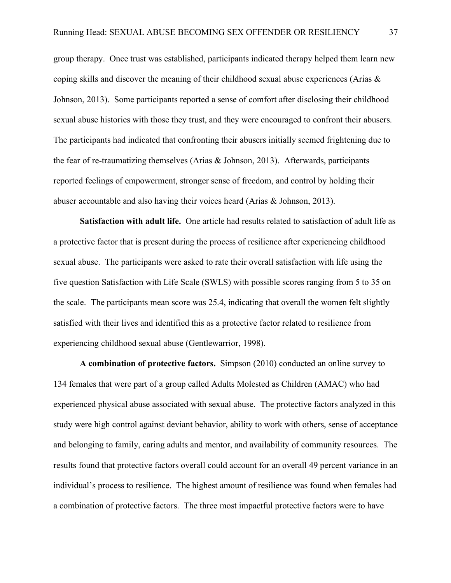group therapy. Once trust was established, participants indicated therapy helped them learn new coping skills and discover the meaning of their childhood sexual abuse experiences (Arias  $\&$ Johnson, 2013). Some participants reported a sense of comfort after disclosing their childhood sexual abuse histories with those they trust, and they were encouraged to confront their abusers. The participants had indicated that confronting their abusers initially seemed frightening due to the fear of re-traumatizing themselves (Arias & Johnson, 2013). Afterwards, participants reported feelings of empowerment, stronger sense of freedom, and control by holding their abuser accountable and also having their voices heard (Arias & Johnson, 2013).

**Satisfaction with adult life.** One article had results related to satisfaction of adult life as a protective factor that is present during the process of resilience after experiencing childhood sexual abuse. The participants were asked to rate their overall satisfaction with life using the five question Satisfaction with Life Scale (SWLS) with possible scores ranging from 5 to 35 on the scale. The participants mean score was 25.4, indicating that overall the women felt slightly satisfied with their lives and identified this as a protective factor related to resilience from experiencing childhood sexual abuse (Gentlewarrior, 1998).

**A combination of protective factors.** Simpson (2010) conducted an online survey to 134 females that were part of a group called Adults Molested as Children (AMAC) who had experienced physical abuse associated with sexual abuse. The protective factors analyzed in this study were high control against deviant behavior, ability to work with others, sense of acceptance and belonging to family, caring adults and mentor, and availability of community resources. The results found that protective factors overall could account for an overall 49 percent variance in an individual's process to resilience. The highest amount of resilience was found when females had a combination of protective factors. The three most impactful protective factors were to have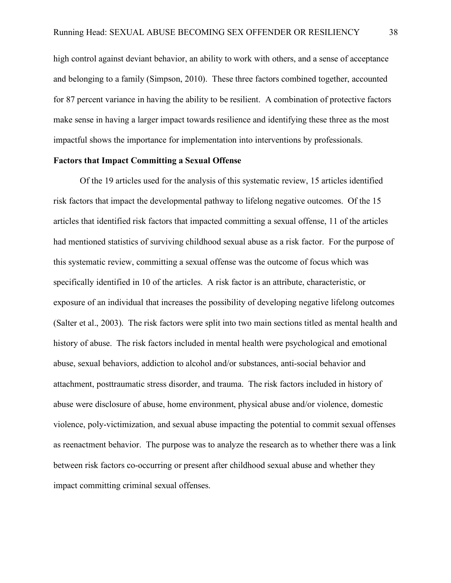high control against deviant behavior, an ability to work with others, and a sense of acceptance and belonging to a family (Simpson, 2010). These three factors combined together, accounted for 87 percent variance in having the ability to be resilient. A combination of protective factors make sense in having a larger impact towards resilience and identifying these three as the most impactful shows the importance for implementation into interventions by professionals.

## **Factors that Impact Committing a Sexual Offense**

Of the 19 articles used for the analysis of this systematic review, 15 articles identified risk factors that impact the developmental pathway to lifelong negative outcomes. Of the 15 articles that identified risk factors that impacted committing a sexual offense, 11 of the articles had mentioned statistics of surviving childhood sexual abuse as a risk factor. For the purpose of this systematic review, committing a sexual offense was the outcome of focus which was specifically identified in 10 of the articles. A risk factor is an attribute, characteristic, or exposure of an individual that increases the possibility of developing negative lifelong outcomes (Salter et al., 2003). The risk factors were split into two main sections titled as mental health and history of abuse. The risk factors included in mental health were psychological and emotional abuse, sexual behaviors, addiction to alcohol and/or substances, anti-social behavior and attachment, posttraumatic stress disorder, and trauma. The risk factors included in history of abuse were disclosure of abuse, home environment, physical abuse and/or violence, domestic violence, poly-victimization, and sexual abuse impacting the potential to commit sexual offenses as reenactment behavior. The purpose was to analyze the research as to whether there was a link between risk factors co-occurring or present after childhood sexual abuse and whether they impact committing criminal sexual offenses.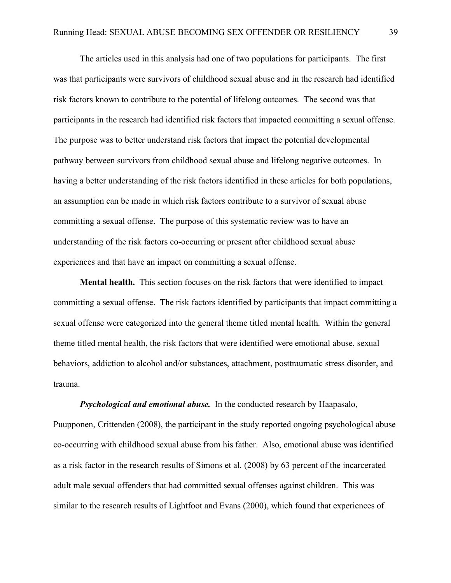The articles used in this analysis had one of two populations for participants. The first was that participants were survivors of childhood sexual abuse and in the research had identified risk factors known to contribute to the potential of lifelong outcomes. The second was that participants in the research had identified risk factors that impacted committing a sexual offense. The purpose was to better understand risk factors that impact the potential developmental pathway between survivors from childhood sexual abuse and lifelong negative outcomes. In having a better understanding of the risk factors identified in these articles for both populations, an assumption can be made in which risk factors contribute to a survivor of sexual abuse committing a sexual offense. The purpose of this systematic review was to have an understanding of the risk factors co-occurring or present after childhood sexual abuse experiences and that have an impact on committing a sexual offense.

**Mental health.** This section focuses on the risk factors that were identified to impact committing a sexual offense. The risk factors identified by participants that impact committing a sexual offense were categorized into the general theme titled mental health. Within the general theme titled mental health, the risk factors that were identified were emotional abuse, sexual behaviors, addiction to alcohol and/or substances, attachment, posttraumatic stress disorder, and trauma.

*Psychological and emotional abuse.* In the conducted research by Haapasalo, Puupponen, Crittenden (2008), the participant in the study reported ongoing psychological abuse co-occurring with childhood sexual abuse from his father. Also, emotional abuse was identified as a risk factor in the research results of Simons et al. (2008) by 63 percent of the incarcerated adult male sexual offenders that had committed sexual offenses against children. This was similar to the research results of Lightfoot and Evans (2000), which found that experiences of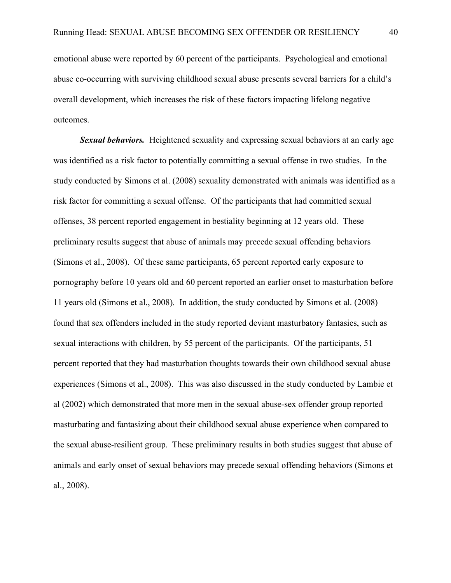emotional abuse were reported by 60 percent of the participants. Psychological and emotional abuse co-occurring with surviving childhood sexual abuse presents several barriers for a child's overall development, which increases the risk of these factors impacting lifelong negative outcomes.

*Sexual behaviors.* Heightened sexuality and expressing sexual behaviors at an early age was identified as a risk factor to potentially committing a sexual offense in two studies. In the study conducted by Simons et al. (2008) sexuality demonstrated with animals was identified as a risk factor for committing a sexual offense. Of the participants that had committed sexual offenses, 38 percent reported engagement in bestiality beginning at 12 years old. These preliminary results suggest that abuse of animals may precede sexual offending behaviors (Simons et al., 2008). Of these same participants, 65 percent reported early exposure to pornography before 10 years old and 60 percent reported an earlier onset to masturbation before 11 years old (Simons et al., 2008). In addition, the study conducted by Simons et al. (2008) found that sex offenders included in the study reported deviant masturbatory fantasies, such as sexual interactions with children, by 55 percent of the participants. Of the participants, 51 percent reported that they had masturbation thoughts towards their own childhood sexual abuse experiences (Simons et al., 2008). This was also discussed in the study conducted by Lambie et al (2002) which demonstrated that more men in the sexual abuse-sex offender group reported masturbating and fantasizing about their childhood sexual abuse experience when compared to the sexual abuse-resilient group. These preliminary results in both studies suggest that abuse of animals and early onset of sexual behaviors may precede sexual offending behaviors (Simons et al., 2008).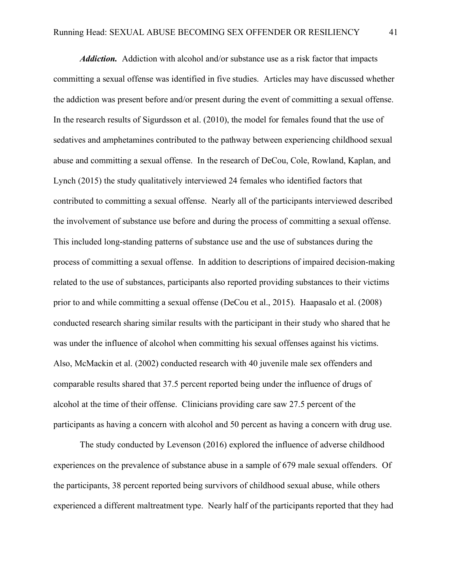*Addiction.* Addiction with alcohol and/or substance use as a risk factor that impacts committing a sexual offense was identified in five studies. Articles may have discussed whether the addiction was present before and/or present during the event of committing a sexual offense. In the research results of Sigurdsson et al. (2010), the model for females found that the use of sedatives and amphetamines contributed to the pathway between experiencing childhood sexual abuse and committing a sexual offense. In the research of DeCou, Cole, Rowland, Kaplan, and Lynch (2015) the study qualitatively interviewed 24 females who identified factors that contributed to committing a sexual offense. Nearly all of the participants interviewed described the involvement of substance use before and during the process of committing a sexual offense. This included long-standing patterns of substance use and the use of substances during the process of committing a sexual offense. In addition to descriptions of impaired decision-making related to the use of substances, participants also reported providing substances to their victims prior to and while committing a sexual offense (DeCou et al., 2015). Haapasalo et al. (2008) conducted research sharing similar results with the participant in their study who shared that he was under the influence of alcohol when committing his sexual offenses against his victims. Also, McMackin et al. (2002) conducted research with 40 juvenile male sex offenders and comparable results shared that 37.5 percent reported being under the influence of drugs of alcohol at the time of their offense. Clinicians providing care saw 27.5 percent of the participants as having a concern with alcohol and 50 percent as having a concern with drug use.

The study conducted by Levenson (2016) explored the influence of adverse childhood experiences on the prevalence of substance abuse in a sample of 679 male sexual offenders. Of the participants, 38 percent reported being survivors of childhood sexual abuse, while others experienced a different maltreatment type. Nearly half of the participants reported that they had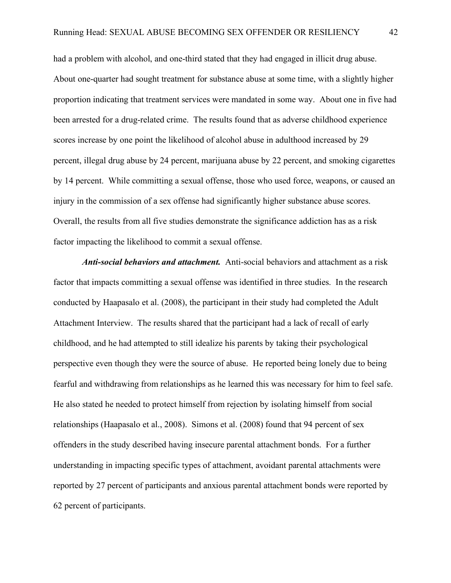had a problem with alcohol, and one-third stated that they had engaged in illicit drug abuse. About one-quarter had sought treatment for substance abuse at some time, with a slightly higher proportion indicating that treatment services were mandated in some way. About one in five had been arrested for a drug-related crime. The results found that as adverse childhood experience scores increase by one point the likelihood of alcohol abuse in adulthood increased by 29 percent, illegal drug abuse by 24 percent, marijuana abuse by 22 percent, and smoking cigarettes by 14 percent. While committing a sexual offense, those who used force, weapons, or caused an injury in the commission of a sex offense had significantly higher substance abuse scores. Overall, the results from all five studies demonstrate the significance addiction has as a risk factor impacting the likelihood to commit a sexual offense.

*Anti-social behaviors and attachment.* Anti-social behaviors and attachment as a risk factor that impacts committing a sexual offense was identified in three studies. In the research conducted by Haapasalo et al. (2008), the participant in their study had completed the Adult Attachment Interview. The results shared that the participant had a lack of recall of early childhood, and he had attempted to still idealize his parents by taking their psychological perspective even though they were the source of abuse. He reported being lonely due to being fearful and withdrawing from relationships as he learned this was necessary for him to feel safe. He also stated he needed to protect himself from rejection by isolating himself from social relationships (Haapasalo et al., 2008). Simons et al. (2008) found that 94 percent of sex offenders in the study described having insecure parental attachment bonds. For a further understanding in impacting specific types of attachment, avoidant parental attachments were reported by 27 percent of participants and anxious parental attachment bonds were reported by 62 percent of participants.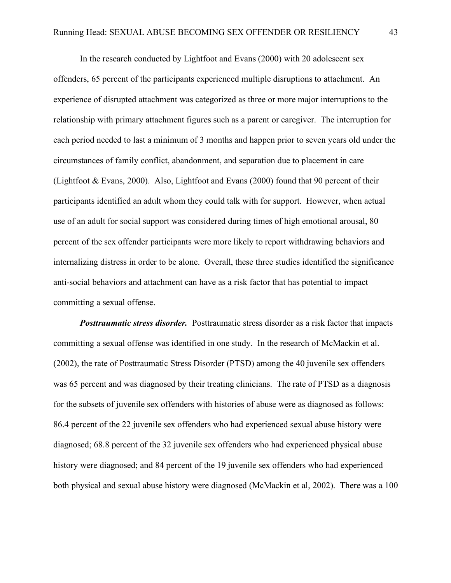In the research conducted by Lightfoot and Evans (2000) with 20 adolescent sex offenders, 65 percent of the participants experienced multiple disruptions to attachment. An experience of disrupted attachment was categorized as three or more major interruptions to the relationship with primary attachment figures such as a parent or caregiver. The interruption for each period needed to last a minimum of 3 months and happen prior to seven years old under the circumstances of family conflict, abandonment, and separation due to placement in care (Lightfoot & Evans, 2000). Also, Lightfoot and Evans (2000) found that 90 percent of their participants identified an adult whom they could talk with for support. However, when actual use of an adult for social support was considered during times of high emotional arousal, 80 percent of the sex offender participants were more likely to report withdrawing behaviors and internalizing distress in order to be alone. Overall, these three studies identified the significance anti-social behaviors and attachment can have as a risk factor that has potential to impact committing a sexual offense.

*Posttraumatic stress disorder.* Posttraumatic stress disorder as a risk factor that impacts committing a sexual offense was identified in one study. In the research of McMackin et al. (2002), the rate of Posttraumatic Stress Disorder (PTSD) among the 40 juvenile sex offenders was 65 percent and was diagnosed by their treating clinicians. The rate of PTSD as a diagnosis for the subsets of juvenile sex offenders with histories of abuse were as diagnosed as follows: 86.4 percent of the 22 juvenile sex offenders who had experienced sexual abuse history were diagnosed; 68.8 percent of the 32 juvenile sex offenders who had experienced physical abuse history were diagnosed; and 84 percent of the 19 juvenile sex offenders who had experienced both physical and sexual abuse history were diagnosed (McMackin et al, 2002). There was a 100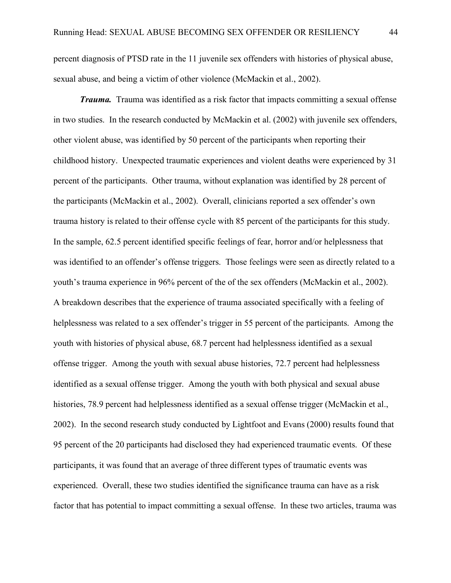percent diagnosis of PTSD rate in the 11 juvenile sex offenders with histories of physical abuse, sexual abuse, and being a victim of other violence (McMackin et al., 2002).

*Trauma.* Trauma was identified as a risk factor that impacts committing a sexual offense in two studies. In the research conducted by McMackin et al. (2002) with juvenile sex offenders, other violent abuse, was identified by 50 percent of the participants when reporting their childhood history. Unexpected traumatic experiences and violent deaths were experienced by 31 percent of the participants. Other trauma, without explanation was identified by 28 percent of the participants (McMackin et al., 2002). Overall, clinicians reported a sex offender's own trauma history is related to their offense cycle with 85 percent of the participants for this study. In the sample, 62.5 percent identified specific feelings of fear, horror and/or helplessness that was identified to an offender's offense triggers. Those feelings were seen as directly related to a youth's trauma experience in 96% percent of the of the sex offenders (McMackin et al., 2002). A breakdown describes that the experience of trauma associated specifically with a feeling of helplessness was related to a sex offender's trigger in 55 percent of the participants. Among the youth with histories of physical abuse, 68.7 percent had helplessness identified as a sexual offense trigger. Among the youth with sexual abuse histories, 72.7 percent had helplessness identified as a sexual offense trigger. Among the youth with both physical and sexual abuse histories, 78.9 percent had helplessness identified as a sexual offense trigger (McMackin et al., 2002). In the second research study conducted by Lightfoot and Evans (2000) results found that 95 percent of the 20 participants had disclosed they had experienced traumatic events. Of these participants, it was found that an average of three different types of traumatic events was experienced. Overall, these two studies identified the significance trauma can have as a risk factor that has potential to impact committing a sexual offense. In these two articles, trauma was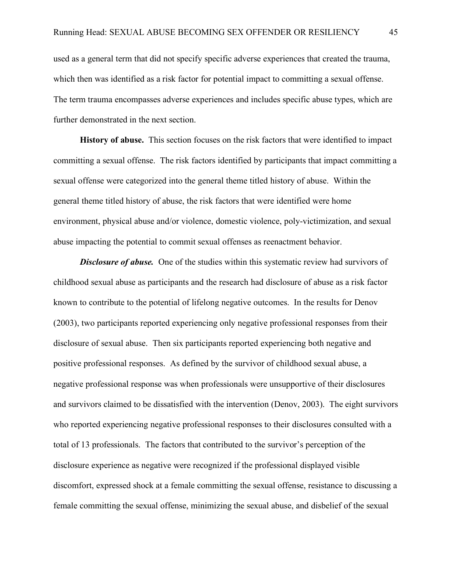used as a general term that did not specify specific adverse experiences that created the trauma, which then was identified as a risk factor for potential impact to committing a sexual offense. The term trauma encompasses adverse experiences and includes specific abuse types, which are further demonstrated in the next section.

**History of abuse.** This section focuses on the risk factors that were identified to impact committing a sexual offense. The risk factors identified by participants that impact committing a sexual offense were categorized into the general theme titled history of abuse. Within the general theme titled history of abuse, the risk factors that were identified were home environment, physical abuse and/or violence, domestic violence, poly-victimization, and sexual abuse impacting the potential to commit sexual offenses as reenactment behavior.

**Disclosure of abuse.** One of the studies within this systematic review had survivors of childhood sexual abuse as participants and the research had disclosure of abuse as a risk factor known to contribute to the potential of lifelong negative outcomes. In the results for Denov (2003), two participants reported experiencing only negative professional responses from their disclosure of sexual abuse. Then six participants reported experiencing both negative and positive professional responses. As defined by the survivor of childhood sexual abuse, a negative professional response was when professionals were unsupportive of their disclosures and survivors claimed to be dissatisfied with the intervention (Denov, 2003). The eight survivors who reported experiencing negative professional responses to their disclosures consulted with a total of 13 professionals. The factors that contributed to the survivor's perception of the disclosure experience as negative were recognized if the professional displayed visible discomfort, expressed shock at a female committing the sexual offense, resistance to discussing a female committing the sexual offense, minimizing the sexual abuse, and disbelief of the sexual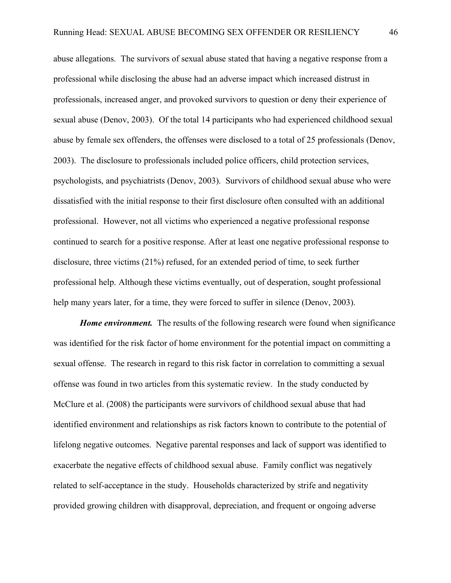abuse allegations. The survivors of sexual abuse stated that having a negative response from a professional while disclosing the abuse had an adverse impact which increased distrust in professionals, increased anger, and provoked survivors to question or deny their experience of sexual abuse (Denov, 2003). Of the total 14 participants who had experienced childhood sexual abuse by female sex offenders, the offenses were disclosed to a total of 25 professionals (Denov, 2003). The disclosure to professionals included police officers, child protection services, psychologists, and psychiatrists (Denov, 2003). Survivors of childhood sexual abuse who were dissatisfied with the initial response to their first disclosure often consulted with an additional professional. However, not all victims who experienced a negative professional response continued to search for a positive response. After at least one negative professional response to disclosure, three victims (21%) refused, for an extended period of time, to seek further professional help. Although these victims eventually, out of desperation, sought professional help many years later, for a time, they were forced to suffer in silence (Denoy, 2003).

*Home* environment. The results of the following research were found when significance was identified for the risk factor of home environment for the potential impact on committing a sexual offense. The research in regard to this risk factor in correlation to committing a sexual offense was found in two articles from this systematic review.In the study conducted by McClure et al. (2008) the participants were survivors of childhood sexual abuse that had identified environment and relationships as risk factors known to contribute to the potential of lifelong negative outcomes. Negative parental responses and lack of support was identified to exacerbate the negative effects of childhood sexual abuse. Family conflict was negatively related to self-acceptance in the study. Households characterized by strife and negativity provided growing children with disapproval, depreciation, and frequent or ongoing adverse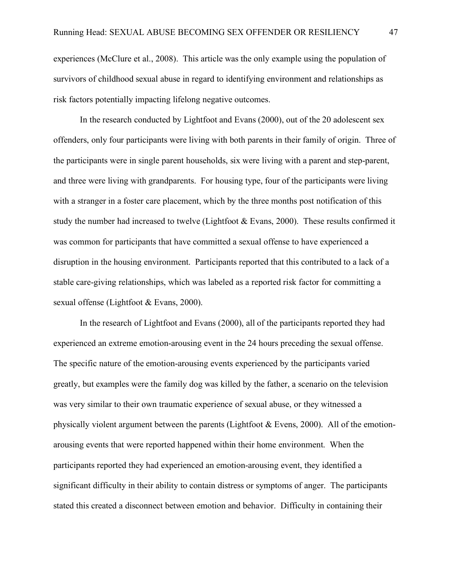experiences (McClure et al., 2008). This article was the only example using the population of survivors of childhood sexual abuse in regard to identifying environment and relationships as risk factors potentially impacting lifelong negative outcomes.

In the research conducted by Lightfoot and Evans (2000), out of the 20 adolescent sex offenders, only four participants were living with both parents in their family of origin. Three of the participants were in single parent households, six were living with a parent and step-parent, and three were living with grandparents. For housing type, four of the participants were living with a stranger in a foster care placement, which by the three months post notification of this study the number had increased to twelve (Lightfoot & Evans, 2000). These results confirmed it was common for participants that have committed a sexual offense to have experienced a disruption in the housing environment. Participants reported that this contributed to a lack of a stable care-giving relationships, which was labeled as a reported risk factor for committing a sexual offense (Lightfoot & Evans, 2000).

In the research of Lightfoot and Evans (2000), all of the participants reported they had experienced an extreme emotion-arousing event in the 24 hours preceding the sexual offense. The specific nature of the emotion-arousing events experienced by the participants varied greatly, but examples were the family dog was killed by the father, a scenario on the television was very similar to their own traumatic experience of sexual abuse, or they witnessed a physically violent argument between the parents (Lightfoot  $\&$  Evens, 2000). All of the emotionarousing events that were reported happened within their home environment. When the participants reported they had experienced an emotion-arousing event, they identified a significant difficulty in their ability to contain distress or symptoms of anger. The participants stated this created a disconnect between emotion and behavior. Difficulty in containing their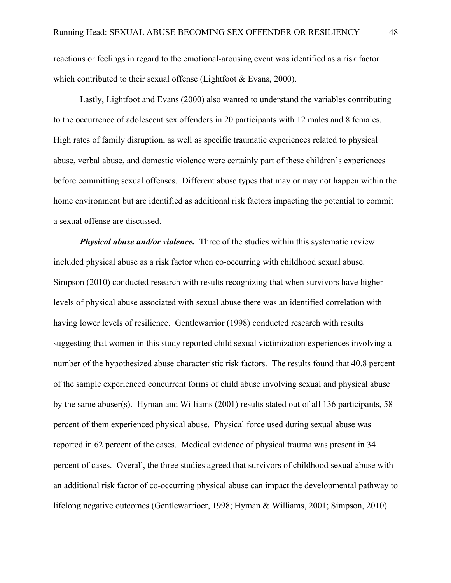reactions or feelings in regard to the emotional-arousing event was identified as a risk factor which contributed to their sexual offense (Lightfoot & Evans, 2000).

Lastly, Lightfoot and Evans (2000) also wanted to understand the variables contributing to the occurrence of adolescent sex offenders in 20 participants with 12 males and 8 females. High rates of family disruption, as well as specific traumatic experiences related to physical abuse, verbal abuse, and domestic violence were certainly part of these children's experiences before committing sexual offenses. Different abuse types that may or may not happen within the home environment but are identified as additional risk factors impacting the potential to commit a sexual offense are discussed.

**Physical abuse and/or violence.** Three of the studies within this systematic review included physical abuse as a risk factor when co-occurring with childhood sexual abuse. Simpson (2010) conducted research with results recognizing that when survivors have higher levels of physical abuse associated with sexual abuse there was an identified correlation with having lower levels of resilience. Gentlewarrior (1998) conducted research with results suggesting that women in this study reported child sexual victimization experiences involving a number of the hypothesized abuse characteristic risk factors. The results found that 40.8 percent of the sample experienced concurrent forms of child abuse involving sexual and physical abuse by the same abuser(s). Hyman and Williams (2001) results stated out of all 136 participants, 58 percent of them experienced physical abuse. Physical force used during sexual abuse was reported in 62 percent of the cases. Medical evidence of physical trauma was present in 34 percent of cases. Overall, the three studies agreed that survivors of childhood sexual abuse with an additional risk factor of co-occurring physical abuse can impact the developmental pathway to lifelong negative outcomes (Gentlewarrioer, 1998; Hyman & Williams, 2001; Simpson, 2010).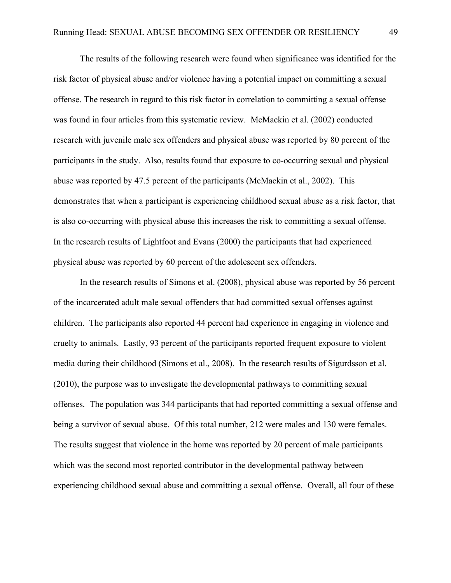The results of the following research were found when significance was identified for the risk factor of physical abuse and/or violence having a potential impact on committing a sexual offense. The research in regard to this risk factor in correlation to committing a sexual offense was found in four articles from this systematic review. McMackin et al. (2002) conducted research with juvenile male sex offenders and physical abuse was reported by 80 percent of the participants in the study. Also, results found that exposure to co-occurring sexual and physical abuse was reported by 47.5 percent of the participants (McMackin et al., 2002). This demonstrates that when a participant is experiencing childhood sexual abuse as a risk factor, that is also co-occurring with physical abuse this increases the risk to committing a sexual offense. In the research results of Lightfoot and Evans (2000) the participants that had experienced physical abuse was reported by 60 percent of the adolescent sex offenders.

In the research results of Simons et al. (2008), physical abuse was reported by 56 percent of the incarcerated adult male sexual offenders that had committed sexual offenses against children. The participants also reported 44 percent had experience in engaging in violence and cruelty to animals. Lastly, 93 percent of the participants reported frequent exposure to violent media during their childhood (Simons et al., 2008). In the research results of Sigurdsson et al. (2010), the purpose was to investigate the developmental pathways to committing sexual offenses. The population was 344 participants that had reported committing a sexual offense and being a survivor of sexual abuse. Of this total number, 212 were males and 130 were females. The results suggest that violence in the home was reported by 20 percent of male participants which was the second most reported contributor in the developmental pathway between experiencing childhood sexual abuse and committing a sexual offense. Overall, all four of these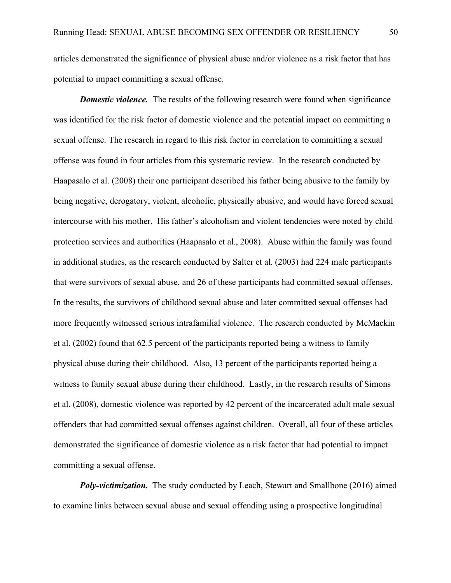articles demonstrated the significance of physical abuse and/or violence as a risk factor that has potential to impact committing a sexual offense.

*Domestic violence.* The results of the following research were found when significance was identified for the risk factor of domestic violence and the potential impact on committing a sexual offense. The research in regard to this risk factor in correlation to committing a sexual offense was found in four articles from this systematic review. In the research conducted by Haapasalo et al. (2008) their one participant described his father being abusive to the family by being negative, derogatory, violent, alcoholic, physically abusive, and would have forced sexual intercourse with his mother. His father's alcoholism and violent tendencies were noted by child protection services and authorities (Haapasalo et al., 2008). Abuse within the family was found in additional studies, as the research conducted by Salter et al. (2003) had 224 male participants that were survivors of sexual abuse, and 26 of these participants had committed sexual offenses. In the results, the survivors of childhood sexual abuse and later committed sexual offenses had more frequently witnessed serious intrafamilial violence. The research conducted by McMackin et al. (2002) found that 62.5 percent of the participants reported being a witness to family physical abuse during their childhood. Also, 13 percent of the participants reported being a witness to family sexual abuse during their childhood. Lastly, in the research results of Simons et al. (2008), domestic violence was reported by 42 percent of the incarcerated adult male sexual offenders that had committed sexual offenses against children. Overall, all four of these articles demonstrated the significance of domestic violence as a risk factor that had potential to impact committing a sexual offense.

*Poly-victimization.* The study conducted by Leach, Stewart and Smallbone (2016) aimed to examine links between sexual abuse and sexual offending using a prospective longitudinal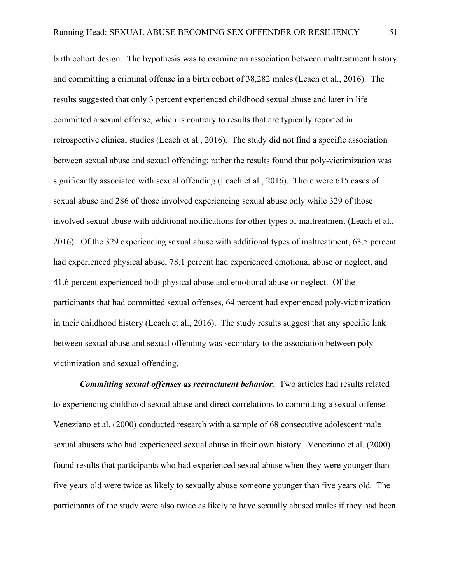birth cohort design. The hypothesis was to examine an association between maltreatment history and committing a criminal offense in a birth cohort of 38,282 males (Leach et al., 2016). The results suggested that only 3 percent experienced childhood sexual abuse and later in life committed a sexual offense, which is contrary to results that are typically reported in retrospective clinical studies (Leach et al., 2016). The study did not find a specific association between sexual abuse and sexual offending; rather the results found that poly-victimization was significantly associated with sexual offending (Leach et al., 2016). There were 615 cases of sexual abuse and 286 of those involved experiencing sexual abuse only while 329 of those involved sexual abuse with additional notifications for other types of maltreatment (Leach et al., 2016). Of the 329 experiencing sexual abuse with additional types of maltreatment, 63.5 percent had experienced physical abuse, 78.1 percent had experienced emotional abuse or neglect, and 41.6 percent experienced both physical abuse and emotional abuse or neglect. Of the participants that had committed sexual offenses, 64 percent had experienced poly-victimization in their childhood history (Leach et al., 2016). The study results suggest that any specific link between sexual abuse and sexual offending was secondary to the association between polyvictimization and sexual offending.

*Committing sexual offenses as reenactment behavior.* Two articles had results related to experiencing childhood sexual abuse and direct correlations to committing a sexual offense. Veneziano et al. (2000) conducted research with a sample of 68 consecutive adolescent male sexual abusers who had experienced sexual abuse in their own history. Veneziano et al. (2000) found results that participants who had experienced sexual abuse when they were younger than five years old were twice as likely to sexually abuse someone younger than five years old. The participants of the study were also twice as likely to have sexually abused males if they had been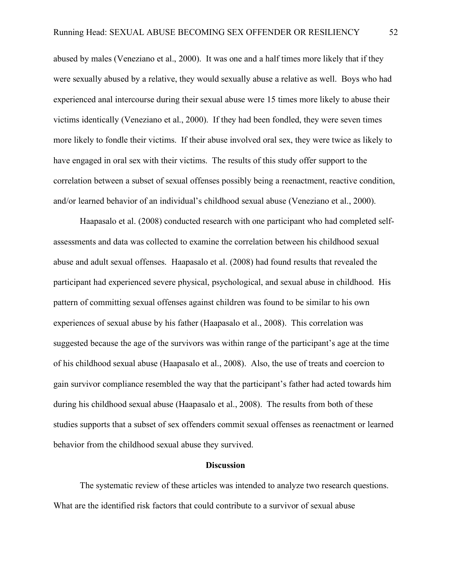abused by males (Veneziano et al., 2000). It was one and a half times more likely that if they were sexually abused by a relative, they would sexually abuse a relative as well. Boys who had experienced anal intercourse during their sexual abuse were 15 times more likely to abuse their victims identically (Veneziano et al., 2000). If they had been fondled, they were seven times more likely to fondle their victims. If their abuse involved oral sex, they were twice as likely to have engaged in oral sex with their victims. The results of this study offer support to the correlation between a subset of sexual offenses possibly being a reenactment, reactive condition, and/or learned behavior of an individual's childhood sexual abuse (Veneziano et al., 2000).

Haapasalo et al. (2008) conducted research with one participant who had completed selfassessments and data was collected to examine the correlation between his childhood sexual abuse and adult sexual offenses. Haapasalo et al. (2008) had found results that revealed the participant had experienced severe physical, psychological, and sexual abuse in childhood. His pattern of committing sexual offenses against children was found to be similar to his own experiences of sexual abuse by his father (Haapasalo et al., 2008). This correlation was suggested because the age of the survivors was within range of the participant's age at the time of his childhood sexual abuse (Haapasalo et al., 2008). Also, the use of treats and coercion to gain survivor compliance resembled the way that the participant's father had acted towards him during his childhood sexual abuse (Haapasalo et al., 2008). The results from both of these studies supports that a subset of sex offenders commit sexual offenses as reenactment or learned behavior from the childhood sexual abuse they survived.

### **Discussion**

The systematic review of these articles was intended to analyze two research questions. What are the identified risk factors that could contribute to a survivor of sexual abuse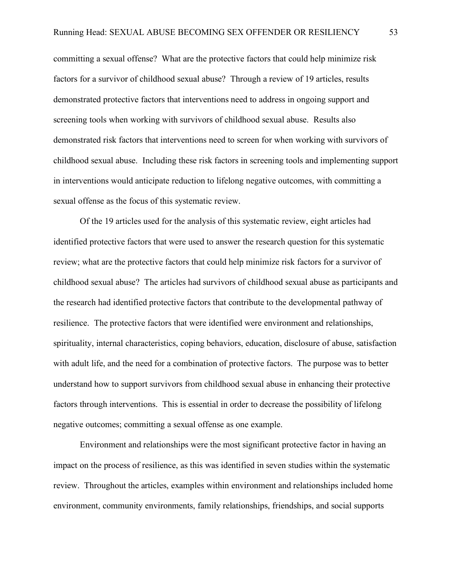committing a sexual offense? What are the protective factors that could help minimize risk factors for a survivor of childhood sexual abuse? Through a review of 19 articles, results demonstrated protective factors that interventions need to address in ongoing support and screening tools when working with survivors of childhood sexual abuse. Results also demonstrated risk factors that interventions need to screen for when working with survivors of childhood sexual abuse. Including these risk factors in screening tools and implementing support in interventions would anticipate reduction to lifelong negative outcomes, with committing a sexual offense as the focus of this systematic review.

Of the 19 articles used for the analysis of this systematic review, eight articles had identified protective factors that were used to answer the research question for this systematic review; what are the protective factors that could help minimize risk factors for a survivor of childhood sexual abuse? The articles had survivors of childhood sexual abuse as participants and the research had identified protective factors that contribute to the developmental pathway of resilience. The protective factors that were identified were environment and relationships, spirituality, internal characteristics, coping behaviors, education, disclosure of abuse, satisfaction with adult life, and the need for a combination of protective factors. The purpose was to better understand how to support survivors from childhood sexual abuse in enhancing their protective factors through interventions. This is essential in order to decrease the possibility of lifelong negative outcomes; committing a sexual offense as one example.

Environment and relationships were the most significant protective factor in having an impact on the process of resilience, as this was identified in seven studies within the systematic review. Throughout the articles, examples within environment and relationships included home environment, community environments, family relationships, friendships, and social supports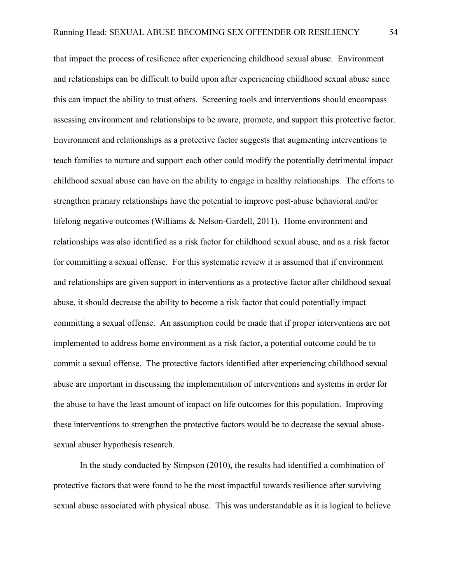that impact the process of resilience after experiencing childhood sexual abuse. Environment and relationships can be difficult to build upon after experiencing childhood sexual abuse since this can impact the ability to trust others. Screening tools and interventions should encompass assessing environment and relationships to be aware, promote, and support this protective factor. Environment and relationships as a protective factor suggests that augmenting interventions to teach families to nurture and support each other could modify the potentially detrimental impact childhood sexual abuse can have on the ability to engage in healthy relationships. The efforts to strengthen primary relationships have the potential to improve post-abuse behavioral and/or lifelong negative outcomes (Williams & Nelson-Gardell, 2011). Home environment and relationships was also identified as a risk factor for childhood sexual abuse, and as a risk factor for committing a sexual offense. For this systematic review it is assumed that if environment and relationships are given support in interventions as a protective factor after childhood sexual abuse, it should decrease the ability to become a risk factor that could potentially impact committing a sexual offense. An assumption could be made that if proper interventions are not implemented to address home environment as a risk factor, a potential outcome could be to commit a sexual offense. The protective factors identified after experiencing childhood sexual abuse are important in discussing the implementation of interventions and systems in order for the abuse to have the least amount of impact on life outcomes for this population. Improving these interventions to strengthen the protective factors would be to decrease the sexual abusesexual abuser hypothesis research.

In the study conducted by Simpson (2010), the results had identified a combination of protective factors that were found to be the most impactful towards resilience after surviving sexual abuse associated with physical abuse. This was understandable as it is logical to believe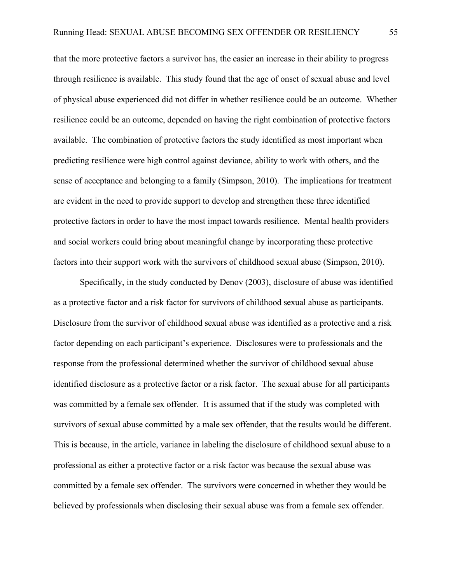that the more protective factors a survivor has, the easier an increase in their ability to progress through resilience is available. This study found that the age of onset of sexual abuse and level of physical abuse experienced did not differ in whether resilience could be an outcome. Whether resilience could be an outcome, depended on having the right combination of protective factors available. The combination of protective factors the study identified as most important when predicting resilience were high control against deviance, ability to work with others, and the sense of acceptance and belonging to a family (Simpson, 2010). The implications for treatment are evident in the need to provide support to develop and strengthen these three identified protective factors in order to have the most impact towards resilience. Mental health providers and social workers could bring about meaningful change by incorporating these protective factors into their support work with the survivors of childhood sexual abuse (Simpson, 2010).

Specifically, in the study conducted by Denov (2003), disclosure of abuse was identified as a protective factor and a risk factor for survivors of childhood sexual abuse as participants. Disclosure from the survivor of childhood sexual abuse was identified as a protective and a risk factor depending on each participant's experience. Disclosures were to professionals and the response from the professional determined whether the survivor of childhood sexual abuse identified disclosure as a protective factor or a risk factor. The sexual abuse for all participants was committed by a female sex offender. It is assumed that if the study was completed with survivors of sexual abuse committed by a male sex offender, that the results would be different. This is because, in the article, variance in labeling the disclosure of childhood sexual abuse to a professional as either a protective factor or a risk factor was because the sexual abuse was committed by a female sex offender. The survivors were concerned in whether they would be believed by professionals when disclosing their sexual abuse was from a female sex offender.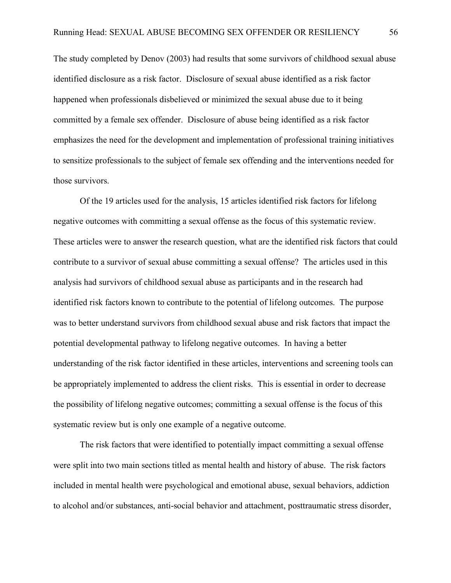The study completed by Denov (2003) had results that some survivors of childhood sexual abuse identified disclosure as a risk factor. Disclosure of sexual abuse identified as a risk factor happened when professionals disbelieved or minimized the sexual abuse due to it being committed by a female sex offender. Disclosure of abuse being identified as a risk factor emphasizes the need for the development and implementation of professional training initiatives to sensitize professionals to the subject of female sex offending and the interventions needed for those survivors.

Of the 19 articles used for the analysis, 15 articles identified risk factors for lifelong negative outcomes with committing a sexual offense as the focus of this systematic review. These articles were to answer the research question, what are the identified risk factors that could contribute to a survivor of sexual abuse committing a sexual offense? The articles used in this analysis had survivors of childhood sexual abuse as participants and in the research had identified risk factors known to contribute to the potential of lifelong outcomes. The purpose was to better understand survivors from childhood sexual abuse and risk factors that impact the potential developmental pathway to lifelong negative outcomes. In having a better understanding of the risk factor identified in these articles, interventions and screening tools can be appropriately implemented to address the client risks. This is essential in order to decrease the possibility of lifelong negative outcomes; committing a sexual offense is the focus of this systematic review but is only one example of a negative outcome.

The risk factors that were identified to potentially impact committing a sexual offense were split into two main sections titled as mental health and history of abuse. The risk factors included in mental health were psychological and emotional abuse, sexual behaviors, addiction to alcohol and/or substances, anti-social behavior and attachment, posttraumatic stress disorder,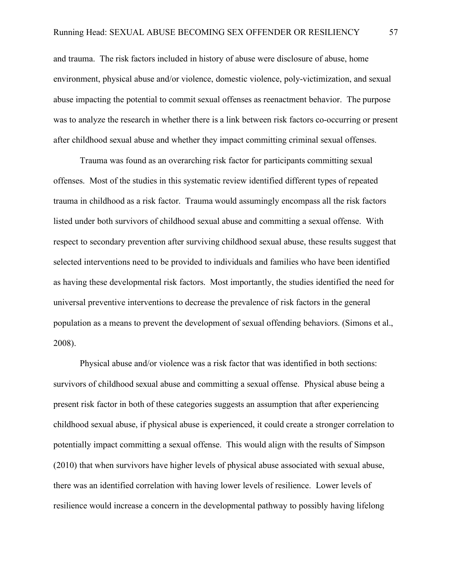and trauma. The risk factors included in history of abuse were disclosure of abuse, home environment, physical abuse and/or violence, domestic violence, poly-victimization, and sexual abuse impacting the potential to commit sexual offenses as reenactment behavior. The purpose was to analyze the research in whether there is a link between risk factors co-occurring or present after childhood sexual abuse and whether they impact committing criminal sexual offenses.

Trauma was found as an overarching risk factor for participants committing sexual offenses. Most of the studies in this systematic review identified different types of repeated trauma in childhood as a risk factor. Trauma would assumingly encompass all the risk factors listed under both survivors of childhood sexual abuse and committing a sexual offense. With respect to secondary prevention after surviving childhood sexual abuse, these results suggest that selected interventions need to be provided to individuals and families who have been identified as having these developmental risk factors. Most importantly, the studies identified the need for universal preventive interventions to decrease the prevalence of risk factors in the general population as a means to prevent the development of sexual offending behaviors. (Simons et al., 2008).

Physical abuse and/or violence was a risk factor that was identified in both sections: survivors of childhood sexual abuse and committing a sexual offense. Physical abuse being a present risk factor in both of these categories suggests an assumption that after experiencing childhood sexual abuse, if physical abuse is experienced, it could create a stronger correlation to potentially impact committing a sexual offense. This would align with the results of Simpson (2010) that when survivors have higher levels of physical abuse associated with sexual abuse, there was an identified correlation with having lower levels of resilience. Lower levels of resilience would increase a concern in the developmental pathway to possibly having lifelong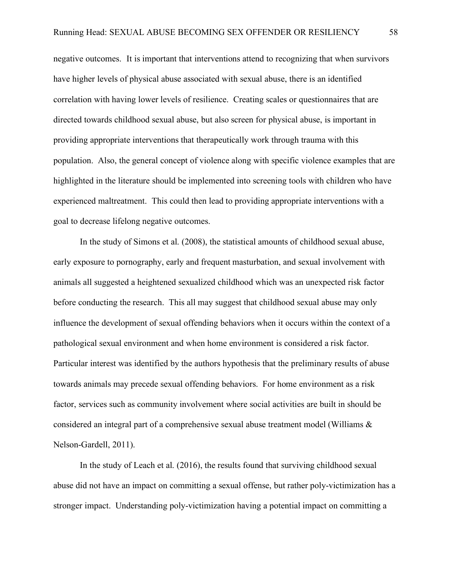negative outcomes. It is important that interventions attend to recognizing that when survivors have higher levels of physical abuse associated with sexual abuse, there is an identified correlation with having lower levels of resilience. Creating scales or questionnaires that are directed towards childhood sexual abuse, but also screen for physical abuse, is important in providing appropriate interventions that therapeutically work through trauma with this population. Also, the general concept of violence along with specific violence examples that are highlighted in the literature should be implemented into screening tools with children who have experienced maltreatment. This could then lead to providing appropriate interventions with a goal to decrease lifelong negative outcomes.

In the study of Simons et al. (2008), the statistical amounts of childhood sexual abuse, early exposure to pornography, early and frequent masturbation, and sexual involvement with animals all suggested a heightened sexualized childhood which was an unexpected risk factor before conducting the research. This all may suggest that childhood sexual abuse may only influence the development of sexual offending behaviors when it occurs within the context of a pathological sexual environment and when home environment is considered a risk factor. Particular interest was identified by the authors hypothesis that the preliminary results of abuse towards animals may precede sexual offending behaviors. For home environment as a risk factor, services such as community involvement where social activities are built in should be considered an integral part of a comprehensive sexual abuse treatment model (Williams & Nelson-Gardell, 2011).

In the study of Leach et al. (2016), the results found that surviving childhood sexual abuse did not have an impact on committing a sexual offense, but rather poly-victimization has a stronger impact. Understanding poly-victimization having a potential impact on committing a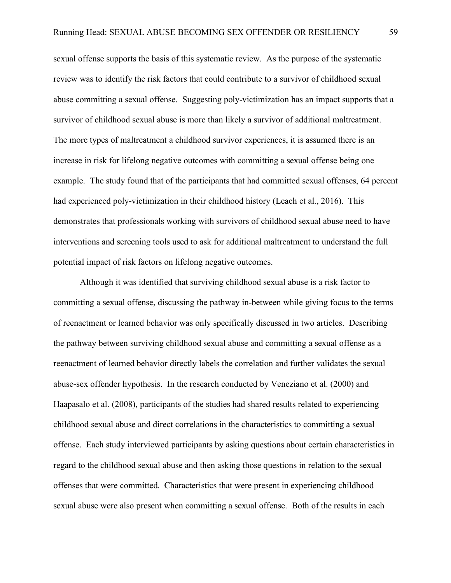sexual offense supports the basis of this systematic review. As the purpose of the systematic review was to identify the risk factors that could contribute to a survivor of childhood sexual abuse committing a sexual offense. Suggesting poly-victimization has an impact supports that a survivor of childhood sexual abuse is more than likely a survivor of additional maltreatment. The more types of maltreatment a childhood survivor experiences, it is assumed there is an increase in risk for lifelong negative outcomes with committing a sexual offense being one example. The study found that of the participants that had committed sexual offenses, 64 percent had experienced poly-victimization in their childhood history (Leach et al., 2016). This demonstrates that professionals working with survivors of childhood sexual abuse need to have interventions and screening tools used to ask for additional maltreatment to understand the full potential impact of risk factors on lifelong negative outcomes.

Although it was identified that surviving childhood sexual abuse is a risk factor to committing a sexual offense, discussing the pathway in-between while giving focus to the terms of reenactment or learned behavior was only specifically discussed in two articles. Describing the pathway between surviving childhood sexual abuse and committing a sexual offense as a reenactment of learned behavior directly labels the correlation and further validates the sexual abuse-sex offender hypothesis. In the research conducted by Veneziano et al. (2000) and Haapasalo et al. (2008), participants of the studies had shared results related to experiencing childhood sexual abuse and direct correlations in the characteristics to committing a sexual offense. Each study interviewed participants by asking questions about certain characteristics in regard to the childhood sexual abuse and then asking those questions in relation to the sexual offenses that were committed. Characteristics that were present in experiencing childhood sexual abuse were also present when committing a sexual offense. Both of the results in each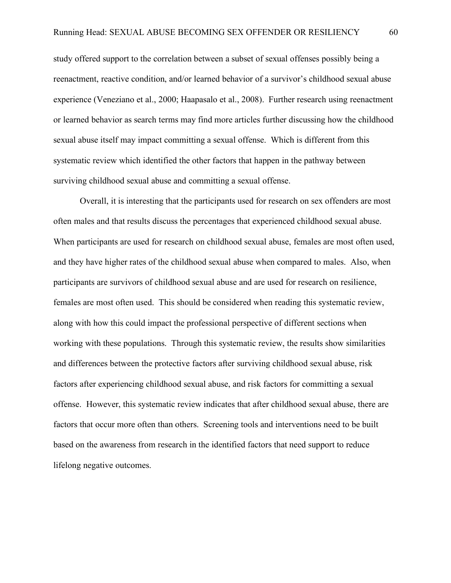study offered support to the correlation between a subset of sexual offenses possibly being a reenactment, reactive condition, and/or learned behavior of a survivor's childhood sexual abuse experience (Veneziano et al., 2000; Haapasalo et al., 2008). Further research using reenactment or learned behavior as search terms may find more articles further discussing how the childhood sexual abuse itself may impact committing a sexual offense. Which is different from this systematic review which identified the other factors that happen in the pathway between surviving childhood sexual abuse and committing a sexual offense.

Overall, it is interesting that the participants used for research on sex offenders are most often males and that results discuss the percentages that experienced childhood sexual abuse. When participants are used for research on childhood sexual abuse, females are most often used, and they have higher rates of the childhood sexual abuse when compared to males. Also, when participants are survivors of childhood sexual abuse and are used for research on resilience, females are most often used. This should be considered when reading this systematic review, along with how this could impact the professional perspective of different sections when working with these populations. Through this systematic review, the results show similarities and differences between the protective factors after surviving childhood sexual abuse, risk factors after experiencing childhood sexual abuse, and risk factors for committing a sexual offense. However, this systematic review indicates that after childhood sexual abuse, there are factors that occur more often than others. Screening tools and interventions need to be built based on the awareness from research in the identified factors that need support to reduce lifelong negative outcomes.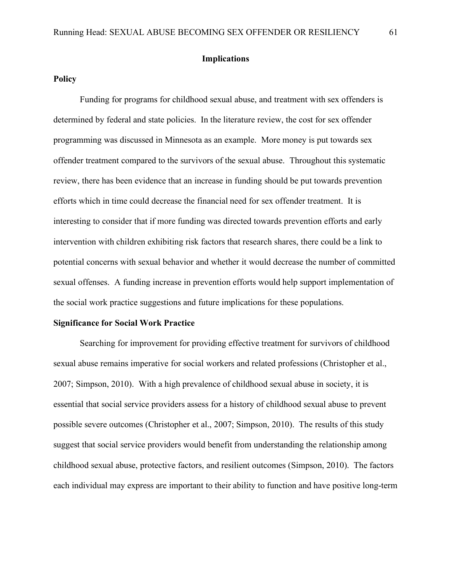### **Implications**

# **Policy**

Funding for programs for childhood sexual abuse, and treatment with sex offenders is determined by federal and state policies. In the literature review, the cost for sex offender programming was discussed in Minnesota as an example. More money is put towards sex offender treatment compared to the survivors of the sexual abuse. Throughout this systematic review, there has been evidence that an increase in funding should be put towards prevention efforts which in time could decrease the financial need for sex offender treatment. It is interesting to consider that if more funding was directed towards prevention efforts and early intervention with children exhibiting risk factors that research shares, there could be a link to potential concerns with sexual behavior and whether it would decrease the number of committed sexual offenses. A funding increase in prevention efforts would help support implementation of the social work practice suggestions and future implications for these populations.

#### **Significance for Social Work Practice**

Searching for improvement for providing effective treatment for survivors of childhood sexual abuse remains imperative for social workers and related professions (Christopher et al., 2007; Simpson, 2010). With a high prevalence of childhood sexual abuse in society, it is essential that social service providers assess for a history of childhood sexual abuse to prevent possible severe outcomes (Christopher et al., 2007; Simpson, 2010). The results of this study suggest that social service providers would benefit from understanding the relationship among childhood sexual abuse, protective factors, and resilient outcomes (Simpson, 2010). The factors each individual may express are important to their ability to function and have positive long-term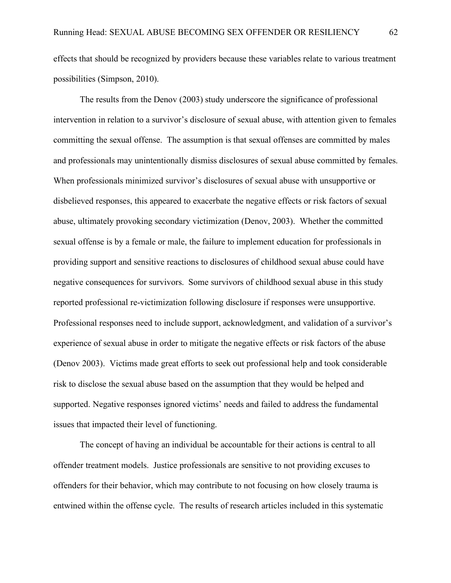effects that should be recognized by providers because these variables relate to various treatment possibilities (Simpson, 2010).

The results from the Denov (2003) study underscore the significance of professional intervention in relation to a survivor's disclosure of sexual abuse, with attention given to females committing the sexual offense. The assumption is that sexual offenses are committed by males and professionals may unintentionally dismiss disclosures of sexual abuse committed by females. When professionals minimized survivor's disclosures of sexual abuse with unsupportive or disbelieved responses, this appeared to exacerbate the negative effects or risk factors of sexual abuse, ultimately provoking secondary victimization (Denov, 2003). Whether the committed sexual offense is by a female or male, the failure to implement education for professionals in providing support and sensitive reactions to disclosures of childhood sexual abuse could have negative consequences for survivors. Some survivors of childhood sexual abuse in this study reported professional re-victimization following disclosure if responses were unsupportive. Professional responses need to include support, acknowledgment, and validation of a survivor's experience of sexual abuse in order to mitigate the negative effects or risk factors of the abuse (Denov 2003). Victims made great efforts to seek out professional help and took considerable risk to disclose the sexual abuse based on the assumption that they would be helped and supported. Negative responses ignored victims' needs and failed to address the fundamental issues that impacted their level of functioning.

The concept of having an individual be accountable for their actions is central to all offender treatment models. Justice professionals are sensitive to not providing excuses to offenders for their behavior, which may contribute to not focusing on how closely trauma is entwined within the offense cycle. The results of research articles included in this systematic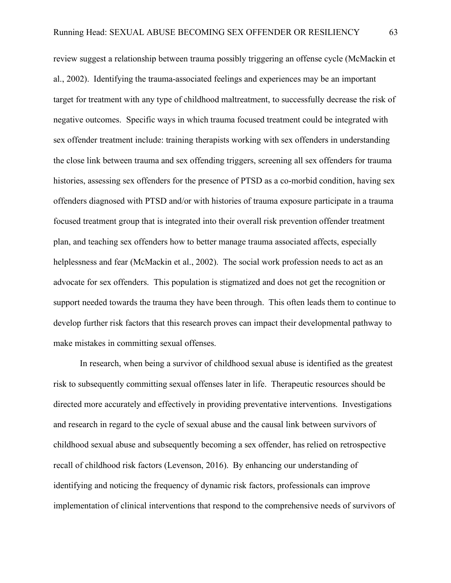review suggest a relationship between trauma possibly triggering an offense cycle (McMackin et al., 2002). Identifying the trauma-associated feelings and experiences may be an important target for treatment with any type of childhood maltreatment, to successfully decrease the risk of negative outcomes. Specific ways in which trauma focused treatment could be integrated with sex offender treatment include: training therapists working with sex offenders in understanding the close link between trauma and sex offending triggers, screening all sex offenders for trauma histories, assessing sex offenders for the presence of PTSD as a co-morbid condition, having sex offenders diagnosed with PTSD and/or with histories of trauma exposure participate in a trauma focused treatment group that is integrated into their overall risk prevention offender treatment plan, and teaching sex offenders how to better manage trauma associated affects, especially helplessness and fear (McMackin et al., 2002). The social work profession needs to act as an advocate for sex offenders. This population is stigmatized and does not get the recognition or support needed towards the trauma they have been through. This often leads them to continue to develop further risk factors that this research proves can impact their developmental pathway to make mistakes in committing sexual offenses.

In research, when being a survivor of childhood sexual abuse is identified as the greatest risk to subsequently committing sexual offenses later in life. Therapeutic resources should be directed more accurately and effectively in providing preventative interventions. Investigations and research in regard to the cycle of sexual abuse and the causal link between survivors of childhood sexual abuse and subsequently becoming a sex offender, has relied on retrospective recall of childhood risk factors (Levenson, 2016). By enhancing our understanding of identifying and noticing the frequency of dynamic risk factors, professionals can improve implementation of clinical interventions that respond to the comprehensive needs of survivors of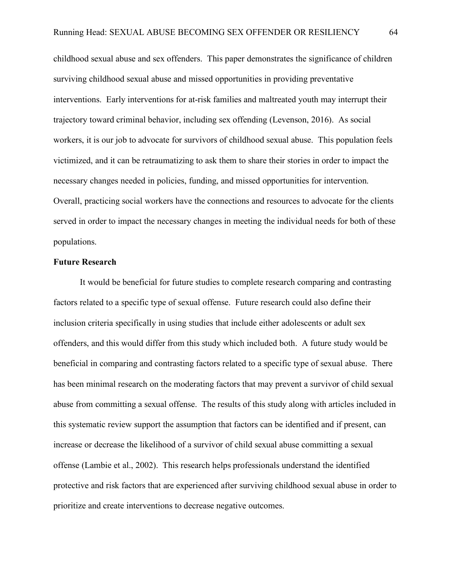childhood sexual abuse and sex offenders. This paper demonstrates the significance of children surviving childhood sexual abuse and missed opportunities in providing preventative interventions. Early interventions for at-risk families and maltreated youth may interrupt their trajectory toward criminal behavior, including sex offending (Levenson, 2016). As social workers, it is our job to advocate for survivors of childhood sexual abuse. This population feels victimized, and it can be retraumatizing to ask them to share their stories in order to impact the necessary changes needed in policies, funding, and missed opportunities for intervention. Overall, practicing social workers have the connections and resources to advocate for the clients served in order to impact the necessary changes in meeting the individual needs for both of these populations.

### **Future Research**

It would be beneficial for future studies to complete research comparing and contrasting factors related to a specific type of sexual offense. Future research could also define their inclusion criteria specifically in using studies that include either adolescents or adult sex offenders, and this would differ from this study which included both. A future study would be beneficial in comparing and contrasting factors related to a specific type of sexual abuse. There has been minimal research on the moderating factors that may prevent a survivor of child sexual abuse from committing a sexual offense. The results of this study along with articles included in this systematic review support the assumption that factors can be identified and if present, can increase or decrease the likelihood of a survivor of child sexual abuse committing a sexual offense (Lambie et al., 2002). This research helps professionals understand the identified protective and risk factors that are experienced after surviving childhood sexual abuse in order to prioritize and create interventions to decrease negative outcomes.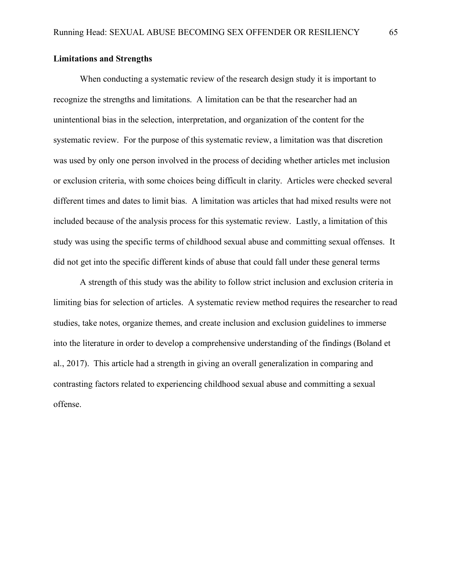## **Limitations and Strengths**

When conducting a systematic review of the research design study it is important to recognize the strengths and limitations. A limitation can be that the researcher had an unintentional bias in the selection, interpretation, and organization of the content for the systematic review. For the purpose of this systematic review, a limitation was that discretion was used by only one person involved in the process of deciding whether articles met inclusion or exclusion criteria, with some choices being difficult in clarity. Articles were checked several different times and dates to limit bias. A limitation was articles that had mixed results were not included because of the analysis process for this systematic review. Lastly, a limitation of this study was using the specific terms of childhood sexual abuse and committing sexual offenses. It did not get into the specific different kinds of abuse that could fall under these general terms

A strength of this study was the ability to follow strict inclusion and exclusion criteria in limiting bias for selection of articles. A systematic review method requires the researcher to read studies, take notes, organize themes, and create inclusion and exclusion guidelines to immerse into the literature in order to develop a comprehensive understanding of the findings (Boland et al., 2017). This article had a strength in giving an overall generalization in comparing and contrasting factors related to experiencing childhood sexual abuse and committing a sexual offense.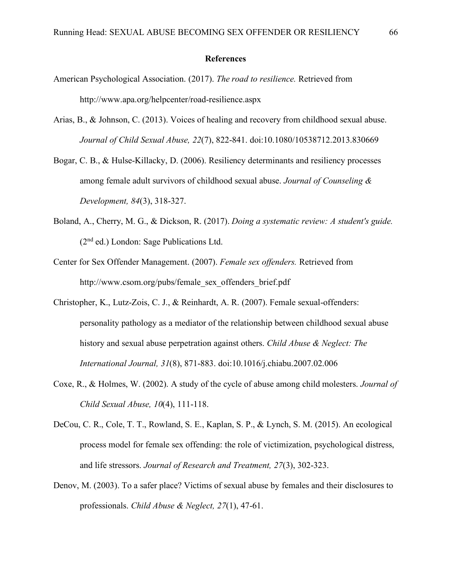#### **References**

- American Psychological Association. (2017). *The road to resilience.* Retrieved from http://www.apa.org/helpcenter/road-resilience.aspx
- Arias, B., & Johnson, C. (2013). Voices of healing and recovery from childhood sexual abuse. *Journal of Child Sexual Abuse, 22*(7), 822-841. doi:10.1080/10538712.2013.830669
- Bogar, C. B., & Hulse-Killacky, D. (2006). Resiliency determinants and resiliency processes among female adult survivors of childhood sexual abuse. *Journal of Counseling & Development, 84*(3), 318-327.
- Boland, A., Cherry, M. G., & Dickson, R. (2017). *Doing a systematic review: A student's guide.*  (2nd ed.) London: Sage Publications Ltd.
- Center for Sex Offender Management. (2007). *Female sex offenders.* Retrieved from http://www.csom.org/pubs/female\_sex\_offenders\_brief.pdf
- Christopher, K., Lutz-Zois, C. J., & Reinhardt, A. R. (2007). Female sexual-offenders: personality pathology as a mediator of the relationship between childhood sexual abuse history and sexual abuse perpetration against others. *Child Abuse & Neglect: The International Journal, 31*(8), 871-883. doi:10.1016/j.chiabu.2007.02.006
- Coxe, R., & Holmes, W. (2002). A study of the cycle of abuse among child molesters. *Journal of Child Sexual Abuse, 10*(4), 111-118.
- DeCou, C. R., Cole, T. T., Rowland, S. E., Kaplan, S. P., & Lynch, S. M. (2015). An ecological process model for female sex offending: the role of victimization, psychological distress, and life stressors. *Journal of Research and Treatment, 27*(3), 302-323.
- Denov, M. (2003). To a safer place? Victims of sexual abuse by females and their disclosures to professionals. *Child Abuse & Neglect, 27*(1), 47-61.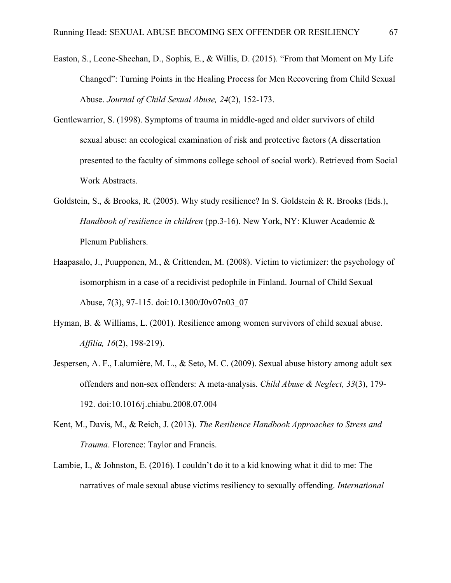- Easton, S., Leone-Sheehan, D., Sophis, E., & Willis, D. (2015). "From that Moment on My Life Changed": Turning Points in the Healing Process for Men Recovering from Child Sexual Abuse. *Journal of Child Sexual Abuse, 24*(2), 152-173.
- Gentlewarrior, S. (1998). Symptoms of trauma in middle-aged and older survivors of child sexual abuse: an ecological examination of risk and protective factors (A dissertation presented to the faculty of simmons college school of social work). Retrieved from Social Work Abstracts.
- Goldstein, S., & Brooks, R. (2005). Why study resilience? In S. Goldstein & R. Brooks (Eds.), *Handbook of resilience in children* (pp.3-16). New York, NY: Kluwer Academic & Plenum Publishers.
- Haapasalo, J., Puupponen, M., & Crittenden, M. (2008). Victim to victimizer: the psychology of isomorphism in a case of a recidivist pedophile in Finland. Journal of Child Sexual Abuse, 7(3), 97-115. doi:10.1300/J0v07n03\_07
- Hyman, B. & Williams, L. (2001). Resilience among women survivors of child sexual abuse. *Affilia, 16*(2), 198-219).
- Jespersen, A. F., Lalumière, M. L., & Seto, M. C. (2009). Sexual abuse history among adult sex offenders and non-sex offenders: A meta-analysis. *Child Abuse & Neglect, 33*(3), 179- 192. doi:10.1016/j.chiabu.2008.07.004
- Kent, M., Davis, M., & Reich, J. (2013). *The Resilience Handbook Approaches to Stress and Trauma*. Florence: Taylor and Francis.
- Lambie, I., & Johnston, E. (2016). I couldn't do it to a kid knowing what it did to me: The narratives of male sexual abuse victims resiliency to sexually offending. *International*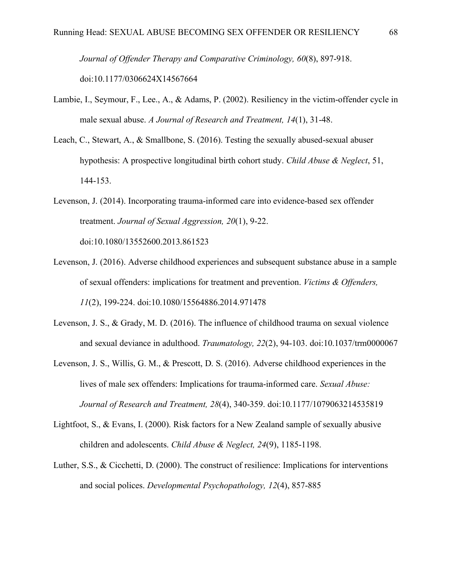*Journal of Offender Therapy and Comparative Criminology, 60*(8), 897-918. doi:10.1177/0306624X14567664

- Lambie, I., Seymour, F., Lee., A., & Adams, P. (2002). Resiliency in the victim-offender cycle in male sexual abuse. *A Journal of Research and Treatment, 14*(1), 31-48.
- Leach, C., Stewart, A., & Smallbone, S. (2016). Testing the sexually abused-sexual abuser hypothesis: A prospective longitudinal birth cohort study. *Child Abuse & Neglect*, 51, 144-153.
- Levenson, J. (2014). Incorporating trauma-informed care into evidence-based sex offender treatment. *Journal of Sexual Aggression, 20*(1), 9-22. doi:10.1080/13552600.2013.861523
- Levenson, J. (2016). Adverse childhood experiences and subsequent substance abuse in a sample of sexual offenders: implications for treatment and prevention. *Victims & Offenders, 11*(2), 199-224. doi:10.1080/15564886.2014.971478
- Levenson, J. S., & Grady, M. D. (2016). The influence of childhood trauma on sexual violence and sexual deviance in adulthood. *Traumatology, 22*(2), 94-103. doi:10.1037/trm0000067
- Levenson, J. S., Willis, G. M., & Prescott, D. S. (2016). Adverse childhood experiences in the lives of male sex offenders: Implications for trauma-informed care. *Sexual Abuse: Journal of Research and Treatment, 28*(4), 340-359. doi:10.1177/1079063214535819
- Lightfoot, S., & Evans, I. (2000). Risk factors for a New Zealand sample of sexually abusive children and adolescents. *Child Abuse & Neglect, 24*(9), 1185-1198.
- Luther, S.S., & Cicchetti, D. (2000). The construct of resilience: Implications for interventions and social polices. *Developmental Psychopathology, 12*(4), 857-885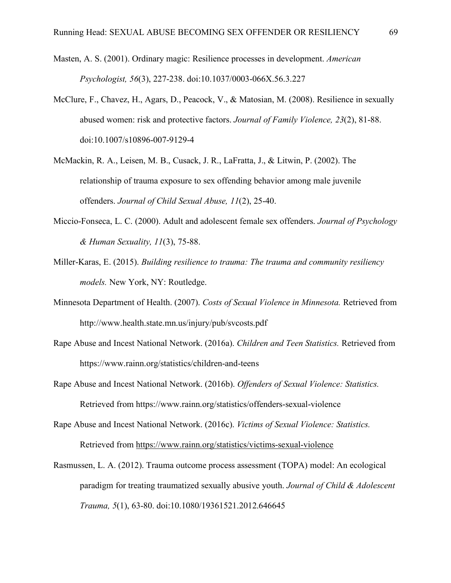- Masten, A. S. (2001). Ordinary magic: Resilience processes in development. *American Psychologist, 56*(3), 227-238. doi:10.1037/0003-066X.56.3.227
- McClure, F., Chavez, H., Agars, D., Peacock, V., & Matosian, M. (2008). Resilience in sexually abused women: risk and protective factors. *Journal of Family Violence, 23*(2), 81-88. doi:10.1007/s10896-007-9129-4
- McMackin, R. A., Leisen, M. B., Cusack, J. R., LaFratta, J., & Litwin, P. (2002). The relationship of trauma exposure to sex offending behavior among male juvenile offenders. *Journal of Child Sexual Abuse, 11*(2), 25-40.
- Miccio-Fonseca, L. C. (2000). Adult and adolescent female sex offenders. *Journal of Psychology & Human Sexuality, 11*(3), 75-88.
- Miller-Karas, E. (2015). *Building resilience to trauma: The trauma and community resiliency models.* New York, NY: Routledge.
- Minnesota Department of Health. (2007). *Costs of Sexual Violence in Minnesota.* Retrieved from http://www.health.state.mn.us/injury/pub/svcosts.pdf
- Rape Abuse and Incest National Network. (2016a). *Children and Teen Statistics.* Retrieved from https://www.rainn.org/statistics/children-and-teens
- Rape Abuse and Incest National Network. (2016b). *Offenders of Sexual Violence: Statistics.*  Retrieved from https://www.rainn.org/statistics/offenders-sexual-violence
- Rape Abuse and Incest National Network. (2016c). *Victims of Sexual Violence: Statistics.*  Retrieved from https://www.rainn.org/statistics/victims-sexual-violence
- Rasmussen, L. A. (2012). Trauma outcome process assessment (TOPA) model: An ecological paradigm for treating traumatized sexually abusive youth. *Journal of Child & Adolescent Trauma, 5*(1), 63-80. doi:10.1080/19361521.2012.646645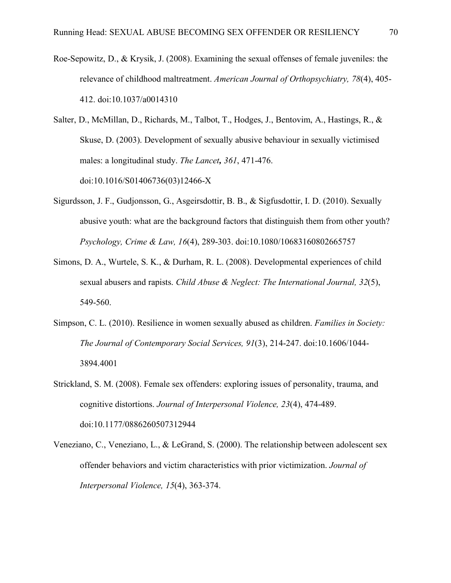- Roe-Sepowitz, D., & Krysik, J. (2008). Examining the sexual offenses of female juveniles: the relevance of childhood maltreatment. *American Journal of Orthopsychiatry, 78*(4), 405- 412. doi:10.1037/a0014310
- Salter, D., McMillan, D., Richards, M., Talbot, T., Hodges, J., Bentovim, A., Hastings, R., & Skuse, D. (2003). Development of sexually abusive behaviour in sexually victimised males: a longitudinal study. *The Lancet, 361*, 471-476. doi:10.1016/S01406736(03)12466-X
- Sigurdsson, J. F., Gudjonsson, G., Asgeirsdottir, B. B., & Sigfusdottir, I. D. (2010). Sexually abusive youth: what are the background factors that distinguish them from other youth? *Psychology, Crime & Law, 16*(4), 289-303. doi:10.1080/10683160802665757
- Simons, D. A., Wurtele, S. K., & Durham, R. L. (2008). Developmental experiences of child sexual abusers and rapists. *Child Abuse & Neglect: The International Journal, 32*(5), 549-560.
- Simpson, C. L. (2010). Resilience in women sexually abused as children. *Families in Society: The Journal of Contemporary Social Services, 91*(3), 214-247. doi:10.1606/1044- 3894.4001
- Strickland, S. M. (2008). Female sex offenders: exploring issues of personality, trauma, and cognitive distortions. *Journal of Interpersonal Violence, 23*(4), 474-489. doi:10.1177/0886260507312944
- Veneziano, C., Veneziano, L., & LeGrand, S. (2000). The relationship between adolescent sex offender behaviors and victim characteristics with prior victimization. *Journal of Interpersonal Violence, 15*(4), 363-374.